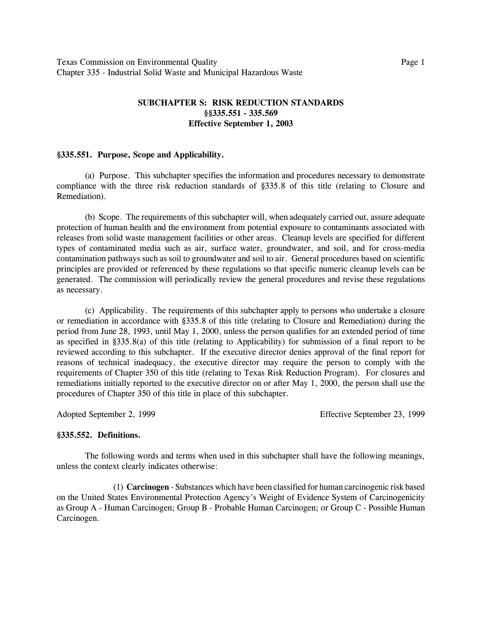## **SUBCHAPTER S: RISK REDUCTION STANDARDS ßß335.551 - 335.569 Effective September 1, 2003**

#### **ß335.551. Purpose, Scope and Applicability.**

(a) Purpose. This subchapter specifies the information and procedures necessary to demonstrate compliance with the three risk reduction standards of ß335.8 of this title (relating to Closure and Remediation).

(b) Scope. The requirements of this subchapter will, when adequately carried out, assure adequate protection of human health and the environment from potential exposure to contaminants associated with releases from solid waste management facilities or other areas. Cleanup levels are specified for different types of contaminated media such as air, surface water, groundwater, and soil, and for cross-media contamination pathways such as soil to groundwater and soil to air. General procedures based on scientific principles are provided or referenced by these regulations so that specific numeric cleanup levels can be generated. The commission will periodically review the general procedures and revise these regulations as necessary.

(c) Applicability. The requirements of this subchapter apply to persons who undertake a closure or remediation in accordance with ß335.8 of this title (relating to Closure and Remediation) during the period from June 28, 1993, until May 1, 2000, unless the person qualifies for an extended period of time as specified in ß335.8(a) of this title (relating to Applicability) for submission of a final report to be reviewed according to this subchapter. If the executive director denies approval of the final report for reasons of technical inadequacy, the executive director may require the person to comply with the requirements of Chapter 350 of this title (relating to Texas Risk Reduction Program). For closures and remediations initially reported to the executive director on or after May 1, 2000, the person shall use the procedures of Chapter 350 of this title in place of this subchapter.

Adopted September 2, 1999 Effective September 23, 1999

#### **ß335.552. Definitions.**

The following words and terms when used in this subchapter shall have the following meanings, unless the context clearly indicates otherwise:

(1) **Carcinogen** - Substances which have been classified for human carcinogenic risk based on the United States Environmental Protection Agency's Weight of Evidence System of Carcinogenicity as Group A - Human Carcinogen; Group B - Probable Human Carcinogen; or Group C - Possible Human Carcinogen.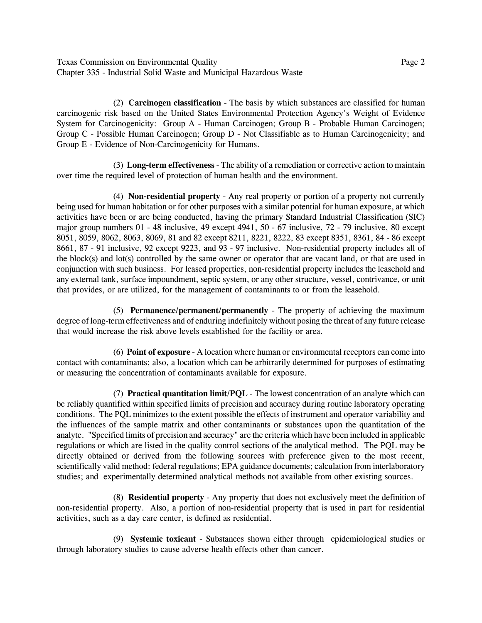Texas Commission on Environmental Quality **Page 2** 2 Chapter 335 - Industrial Solid Waste and Municipal Hazardous Waste

(2) **Carcinogen classification** - The basis by which substances are classified for human carcinogenic risk based on the United States Environmental Protection Agency's Weight of Evidence System for Carcinogenicity: Group A - Human Carcinogen; Group B - Probable Human Carcinogen; Group C - Possible Human Carcinogen; Group D - Not Classifiable as to Human Carcinogenicity; and Group E - Evidence of Non-Carcinogenicity for Humans.

(3) **Long-term effectiveness** - The ability of a remediation or corrective action to maintain over time the required level of protection of human health and the environment.

(4) **Non-residential property** - Any real property or portion of a property not currently being used for human habitation or for other purposes with a similar potential for human exposure, at which activities have been or are being conducted, having the primary Standard Industrial Classification (SIC) major group numbers 01 - 48 inclusive, 49 except 4941, 50 - 67 inclusive, 72 - 79 inclusive, 80 except 8051, 8059, 8062, 8063, 8069, 81 and 82 except 8211, 8221, 8222, 83 except 8351, 8361, 84 - 86 except 8661, 87 - 91 inclusive, 92 except 9223, and 93 - 97 inclusive. Non-residential property includes all of the block(s) and lot(s) controlled by the same owner or operator that are vacant land, or that are used in conjunction with such business. For leased properties, non-residential property includes the leasehold and any external tank, surface impoundment, septic system, or any other structure, vessel, contrivance, or unit that provides, or are utilized, for the management of contaminants to or from the leasehold.

(5) **Permanence/permanent/permanently** - The property of achieving the maximum degree of long-term effectiveness and of enduring indefinitely without posing the threat of any future release that would increase the risk above levels established for the facility or area.

(6) **Point of exposure** - A location where human or environmental receptors can come into contact with contaminants; also, a location which can be arbitrarily determined for purposes of estimating or measuring the concentration of contaminants available for exposure.

(7) **Practical quantitation limit/PQL** - The lowest concentration of an analyte which can be reliably quantified within specified limits of precision and accuracy during routine laboratory operating conditions. The PQL minimizes to the extent possible the effects of instrument and operator variability and the influences of the sample matrix and other contaminants or substances upon the quantitation of the analyte. "Specified limits of precision and accuracy" are the criteria which have been included in applicable regulations or which are listed in the quality control sections of the analytical method. The PQL may be directly obtained or derived from the following sources with preference given to the most recent, scientifically valid method: federal regulations; EPA guidance documents; calculation from interlaboratory studies; and experimentally determined analytical methods not available from other existing sources.

(8) **Residential property** - Any property that does not exclusively meet the definition of non-residential property. Also, a portion of non-residential property that is used in part for residential activities, such as a day care center, is defined as residential.

(9) **Systemic toxicant** - Substances shown either through epidemiological studies or through laboratory studies to cause adverse health effects other than cancer.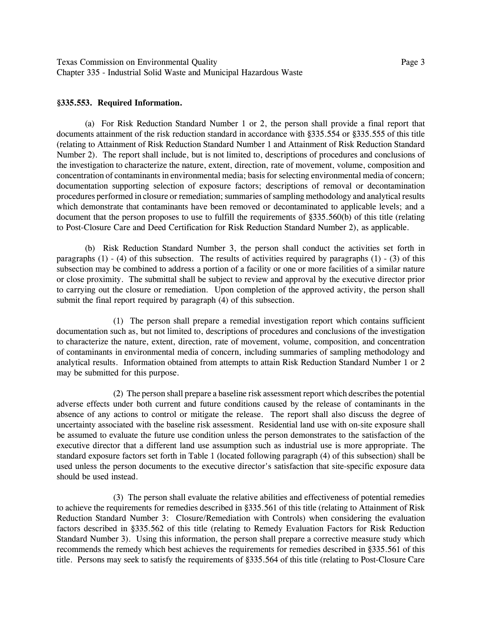Texas Commission on Environmental Quality **Page 3** Page 3 Chapter 335 - Industrial Solid Waste and Municipal Hazardous Waste

#### **ß335.553. Required Information.**

(a) For Risk Reduction Standard Number 1 or 2, the person shall provide a final report that documents attainment of the risk reduction standard in accordance with ß335.554 or ß335.555 of this title (relating to Attainment of Risk Reduction Standard Number 1 and Attainment of Risk Reduction Standard Number 2). The report shall include, but is not limited to, descriptions of procedures and conclusions of the investigation to characterize the nature, extent, direction, rate of movement, volume, composition and concentration of contaminants in environmental media; basis for selecting environmental media of concern; documentation supporting selection of exposure factors; descriptions of removal or decontamination procedures performed in closure or remediation; summaries of sampling methodology and analytical results which demonstrate that contaminants have been removed or decontaminated to applicable levels; and a document that the person proposes to use to fulfill the requirements of §335.560(b) of this title (relating to Post-Closure Care and Deed Certification for Risk Reduction Standard Number 2), as applicable.

(b) Risk Reduction Standard Number 3, the person shall conduct the activities set forth in paragraphs (1) - (4) of this subsection. The results of activities required by paragraphs (1) - (3) of this subsection may be combined to address a portion of a facility or one or more facilities of a similar nature or close proximity. The submittal shall be subject to review and approval by the executive director prior to carrying out the closure or remediation. Upon completion of the approved activity, the person shall submit the final report required by paragraph (4) of this subsection.

(1) The person shall prepare a remedial investigation report which contains sufficient documentation such as, but not limited to, descriptions of procedures and conclusions of the investigation to characterize the nature, extent, direction, rate of movement, volume, composition, and concentration of contaminants in environmental media of concern, including summaries of sampling methodology and analytical results. Information obtained from attempts to attain Risk Reduction Standard Number 1 or 2 may be submitted for this purpose.

(2) The person shall prepare a baseline risk assessment report which describes the potential adverse effects under both current and future conditions caused by the release of contaminants in the absence of any actions to control or mitigate the release. The report shall also discuss the degree of uncertainty associated with the baseline risk assessment. Residential land use with on-site exposure shall be assumed to evaluate the future use condition unless the person demonstrates to the satisfaction of the executive director that a different land use assumption such as industrial use is more appropriate. The standard exposure factors set forth in Table 1 (located following paragraph (4) of this subsection) shall be used unless the person documents to the executive director's satisfaction that site-specific exposure data should be used instead.

(3) The person shall evaluate the relative abilities and effectiveness of potential remedies to achieve the requirements for remedies described in ß335.561 of this title (relating to Attainment of Risk Reduction Standard Number 3: Closure/Remediation with Controls) when considering the evaluation factors described in ß335.562 of this title (relating to Remedy Evaluation Factors for Risk Reduction Standard Number 3). Using this information, the person shall prepare a corrective measure study which recommends the remedy which best achieves the requirements for remedies described in ß335.561 of this title. Persons may seek to satisfy the requirements of ß335.564 of this title (relating to Post-Closure Care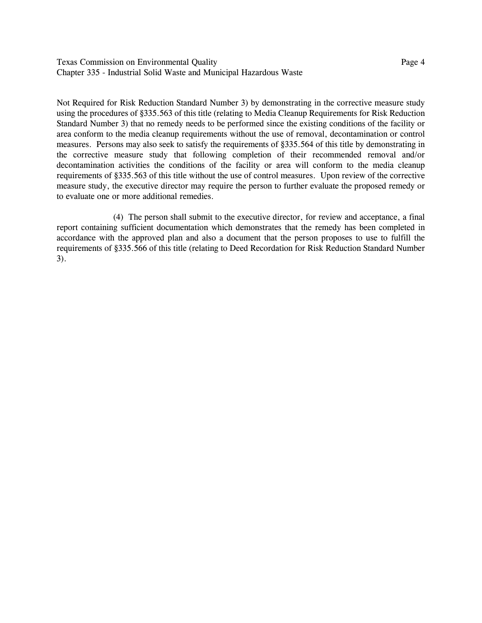Texas Commission on Environmental Quality **Page 4** and  $P$  and  $P$  and  $P$  and  $P$  and  $P$  and  $P$  and  $P$  and  $P$  and  $P$  and  $P$  and  $P$  and  $P$  and  $P$  and  $P$  and  $P$  and  $P$  and  $P$  and  $P$  and  $P$  and  $P$  and  $P$  and Chapter 335 - Industrial Solid Waste and Municipal Hazardous Waste

Not Required for Risk Reduction Standard Number 3) by demonstrating in the corrective measure study using the procedures of ß335.563 of this title (relating to Media Cleanup Requirements for Risk Reduction Standard Number 3) that no remedy needs to be performed since the existing conditions of the facility or area conform to the media cleanup requirements without the use of removal, decontamination or control measures. Persons may also seek to satisfy the requirements of ß335.564 of this title by demonstrating in the corrective measure study that following completion of their recommended removal and/or decontamination activities the conditions of the facility or area will conform to the media cleanup requirements of ß335.563 of this title without the use of control measures. Upon review of the corrective measure study, the executive director may require the person to further evaluate the proposed remedy or to evaluate one or more additional remedies.

(4) The person shall submit to the executive director, for review and acceptance, a final report containing sufficient documentation which demonstrates that the remedy has been completed in accordance with the approved plan and also a document that the person proposes to use to fulfill the requirements of ß335.566 of this title (relating to Deed Recordation for Risk Reduction Standard Number 3).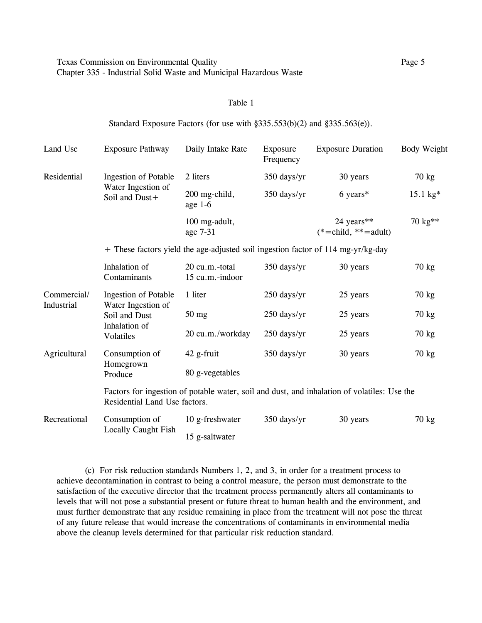#### Table 1

### Standard Exposure Factors (for use with  $\S 335.553(b)(2)$  and  $\S 335.563(e)$ ).

| Land Use     | <b>Exposure Pathway</b>              | Daily Intake Rate                 | Exposure<br>Frequency | <b>Exposure Duration</b>                                                                    | <b>Body Weight</b> |
|--------------|--------------------------------------|-----------------------------------|-----------------------|---------------------------------------------------------------------------------------------|--------------------|
| Residential  | <b>Ingestion of Potable</b>          | 2 liters                          | 350 days/yr           | 30 years                                                                                    | 70 kg              |
|              | Water Ingestion of<br>Soil and Dust+ | 200 mg-child,<br>age $1-6$        | 350 days/yr           | $6 \text{ years}^*$                                                                         | 15.1 kg*           |
|              |                                      | 100 mg-adult,<br>age 7-31         |                       | 24 years**<br>$(*=child, **=adult)$                                                         | 70 kg**            |
|              |                                      |                                   |                       | + These factors yield the age-adjusted soil ingestion factor of 114 mg-yr/kg-day            |                    |
|              | Inhalation of<br>Contaminants        | 20 cu.m.-total<br>15 cu.m.-indoor | 350 days/yr           | 30 years                                                                                    | $70 \text{ kg}$    |
| Commercial/  | <b>Ingestion of Potable</b>          | 1 liter                           | 250 days/yr           | 25 years                                                                                    | 70 kg              |
| Industrial   | Water Ingestion of<br>Soil and Dust  | $50$ mg                           | 250 days/yr           | 25 years                                                                                    | 70 kg              |
|              | Inhalation of<br><b>Volatiles</b>    | 20 cu.m./workday                  | 250 days/yr           | 25 years                                                                                    | 70 kg              |
| Agricultural | Consumption of                       | 42 g-fruit                        | 350 days/yr           | 30 years                                                                                    | 70 kg              |
|              | Homegrown<br>Produce                 | 80 g-vegetables                   |                       |                                                                                             |                    |
|              | Residential Land Use factors.        |                                   |                       | Factors for ingestion of potable water, soil and dust, and inhalation of volatiles: Use the |                    |
| Recreational | Consumption of                       | 10 g-freshwater                   | 350 days/yr           | 30 years                                                                                    | 70 kg              |
|              | <b>Locally Caught Fish</b>           | 15 g-saltwater                    |                       |                                                                                             |                    |

(c) For risk reduction standards Numbers 1, 2, and 3, in order for a treatment process to achieve decontamination in contrast to being a control measure, the person must demonstrate to the satisfaction of the executive director that the treatment process permanently alters all contaminants to levels that will not pose a substantial present or future threat to human health and the environment, and must further demonstrate that any residue remaining in place from the treatment will not pose the threat of any future release that would increase the concentrations of contaminants in environmental media above the cleanup levels determined for that particular risk reduction standard.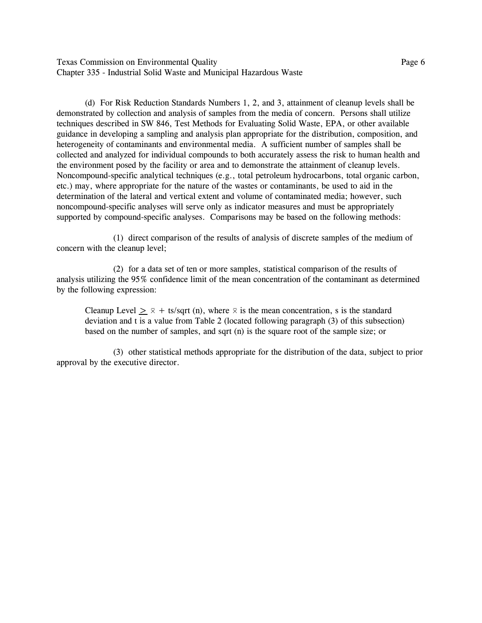Texas Commission on Environmental Quality **Page 6** and  $P$  and  $P$  and  $P$  and  $P$  and  $P$  and  $P$  and  $P$  and  $P$  and  $P$  and  $P$  and  $P$  and  $P$  and  $P$  and  $P$  and  $P$  and  $P$  and  $P$  and  $P$  and  $P$  and  $P$  and  $P$  and Chapter 335 - Industrial Solid Waste and Municipal Hazardous Waste

(d) For Risk Reduction Standards Numbers 1, 2, and 3, attainment of cleanup levels shall be demonstrated by collection and analysis of samples from the media of concern. Persons shall utilize techniques described in SW 846, Test Methods for Evaluating Solid Waste, EPA, or other available guidance in developing a sampling and analysis plan appropriate for the distribution, composition, and heterogeneity of contaminants and environmental media. A sufficient number of samples shall be collected and analyzed for individual compounds to both accurately assess the risk to human health and the environment posed by the facility or area and to demonstrate the attainment of cleanup levels. Noncompound-specific analytical techniques (e.g., total petroleum hydrocarbons, total organic carbon, etc.) may, where appropriate for the nature of the wastes or contaminants, be used to aid in the determination of the lateral and vertical extent and volume of contaminated media; however, such noncompound-specific analyses will serve only as indicator measures and must be appropriately supported by compound-specific analyses. Comparisons may be based on the following methods:

(1) direct comparison of the results of analysis of discrete samples of the medium of concern with the cleanup level;

(2) for a data set of ten or more samples, statistical comparison of the results of analysis utilizing the 95% confidence limit of the mean concentration of the contaminant as determined by the following expression:

Cleanup Level  $> \overline{\times}$  + ts/sqrt (n), where  $\overline{\times}$  is the mean concentration, s is the standard deviation and t is a value from Table 2 (located following paragraph (3) of this subsection) based on the number of samples, and sqrt (n) is the square root of the sample size; or

(3) other statistical methods appropriate for the distribution of the data, subject to prior approval by the executive director.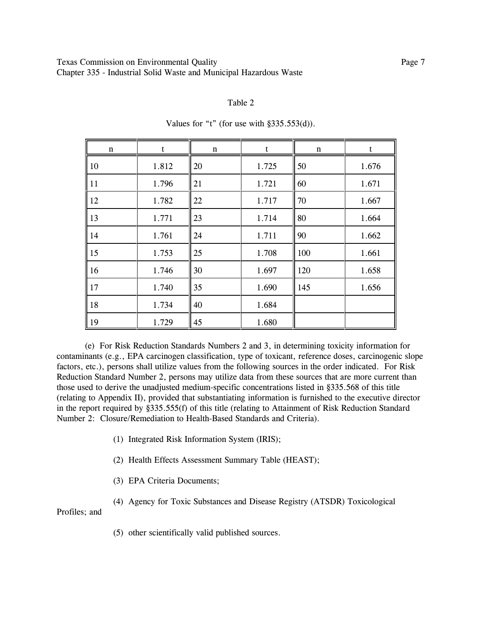#### Table 2

| $\mathbf n$ |       | n  |       | $\mathbf n$ |       |
|-------------|-------|----|-------|-------------|-------|
| 10          | 1.812 | 20 | 1.725 | 50          | 1.676 |
| 11          | 1.796 | 21 | 1.721 | 60          | 1.671 |
| 12          | 1.782 | 22 | 1.717 | 70          | 1.667 |
| 13          | 1.771 | 23 | 1.714 | 80          | 1.664 |
| 14          | 1.761 | 24 | 1.711 | 90          | 1.662 |
| 15          | 1.753 | 25 | 1.708 | 100         | 1.661 |
| 16          | 1.746 | 30 | 1.697 | 120         | 1.658 |
| 17          | 1.740 | 35 | 1.690 | 145         | 1.656 |
| 18          | 1.734 | 40 | 1.684 |             |       |
| 19          | 1.729 | 45 | 1.680 |             |       |

Values for "t" (for use with  $§335.553(d)$ ).

(e) For Risk Reduction Standards Numbers 2 and 3, in determining toxicity information for contaminants (e.g., EPA carcinogen classification, type of toxicant, reference doses, carcinogenic slope factors, etc.), persons shall utilize values from the following sources in the order indicated. For Risk Reduction Standard Number 2, persons may utilize data from these sources that are more current than those used to derive the unadjusted medium-specific concentrations listed in ß335.568 of this title (relating to Appendix II), provided that substantiating information is furnished to the executive director in the report required by ß335.555(f) of this title (relating to Attainment of Risk Reduction Standard Number 2: Closure/Remediation to Health-Based Standards and Criteria).

(1) Integrated Risk Information System (IRIS);

(2) Health Effects Assessment Summary Table (HEAST);

- (3) EPA Criteria Documents;
- (4) Agency for Toxic Substances and Disease Registry (ATSDR) Toxicological

Profiles; and

(5) other scientifically valid published sources.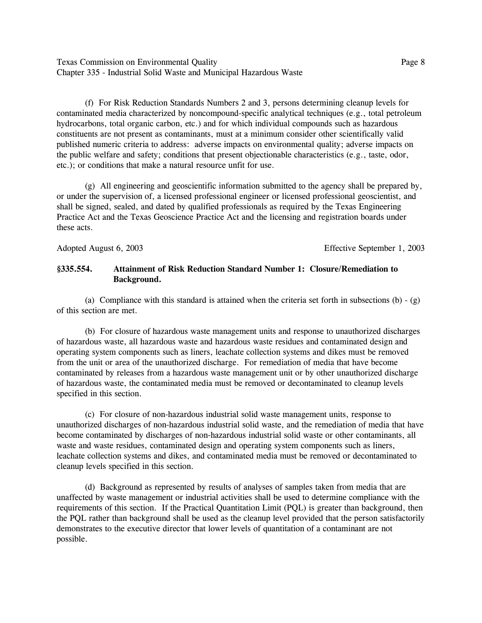Texas Commission on Environmental Quality **Page 8** and  $P$  and  $P$  and  $P$  and  $P$  and  $P$  and  $P$  and  $P$  and  $P$  and  $P$  and  $P$  and  $P$  and  $P$  and  $P$  and  $P$  and  $P$  and  $P$  and  $P$  and  $P$  and  $P$  and  $P$  and  $P$  and Chapter 335 - Industrial Solid Waste and Municipal Hazardous Waste

(f) For Risk Reduction Standards Numbers 2 and 3, persons determining cleanup levels for contaminated media characterized by noncompound-specific analytical techniques (e.g., total petroleum hydrocarbons, total organic carbon, etc.) and for which individual compounds such as hazardous constituents are not present as contaminants, must at a minimum consider other scientifically valid published numeric criteria to address: adverse impacts on environmental quality; adverse impacts on the public welfare and safety; conditions that present objectionable characteristics (e.g., taste, odor, etc.); or conditions that make a natural resource unfit for use.

(g) All engineering and geoscientific information submitted to the agency shall be prepared by, or under the supervision of, a licensed professional engineer or licensed professional geoscientist, and shall be signed, sealed, and dated by qualified professionals as required by the Texas Engineering Practice Act and the Texas Geoscience Practice Act and the licensing and registration boards under these acts.

Adopted August 6, 2003 Effective September 1, 2003

## **ß335.554. Attainment of Risk Reduction Standard Number 1: Closure/Remediation to Background.**

(a) Compliance with this standard is attained when the criteria set forth in subsections (b)  $-$  (g) of this section are met.

(b) For closure of hazardous waste management units and response to unauthorized discharges of hazardous waste, all hazardous waste and hazardous waste residues and contaminated design and operating system components such as liners, leachate collection systems and dikes must be removed from the unit or area of the unauthorized discharge. For remediation of media that have become contaminated by releases from a hazardous waste management unit or by other unauthorized discharge of hazardous waste, the contaminated media must be removed or decontaminated to cleanup levels specified in this section.

(c) For closure of non-hazardous industrial solid waste management units, response to unauthorized discharges of non-hazardous industrial solid waste, and the remediation of media that have become contaminated by discharges of non-hazardous industrial solid waste or other contaminants, all waste and waste residues, contaminated design and operating system components such as liners, leachate collection systems and dikes, and contaminated media must be removed or decontaminated to cleanup levels specified in this section.

(d) Background as represented by results of analyses of samples taken from media that are unaffected by waste management or industrial activities shall be used to determine compliance with the requirements of this section. If the Practical Quantitation Limit (PQL) is greater than background, then the PQL rather than background shall be used as the cleanup level provided that the person satisfactorily demonstrates to the executive director that lower levels of quantitation of a contaminant are not possible.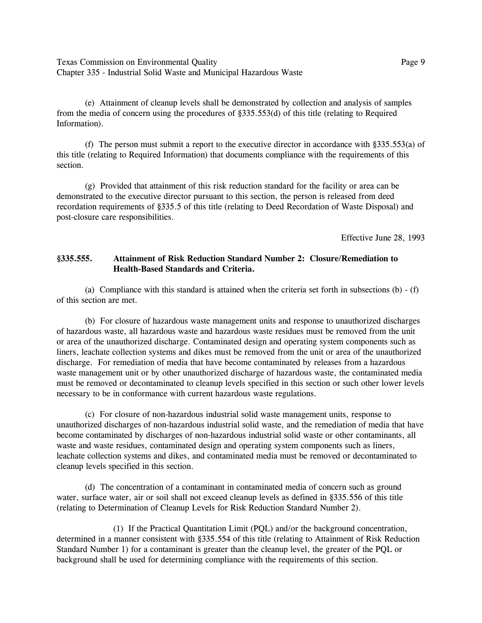Texas Commission on Environmental Quality **Page 9** and Page 9 Chapter 335 - Industrial Solid Waste and Municipal Hazardous Waste

(e) Attainment of cleanup levels shall be demonstrated by collection and analysis of samples from the media of concern using the procedures of ß335.553(d) of this title (relating to Required Information).

(f) The person must submit a report to the executive director in accordance with  $\S 335.553(a)$  of this title (relating to Required Information) that documents compliance with the requirements of this section.

(g) Provided that attainment of this risk reduction standard for the facility or area can be demonstrated to the executive director pursuant to this section, the person is released from deed recordation requirements of ß335.5 of this title (relating to Deed Recordation of Waste Disposal) and post-closure care responsibilities.

Effective June 28, 1993

### **ß335.555. Attainment of Risk Reduction Standard Number 2: Closure/Remediation to Health-Based Standards and Criteria.**

(a) Compliance with this standard is attained when the criteria set forth in subsections (b) - (f) of this section are met.

(b) For closure of hazardous waste management units and response to unauthorized discharges of hazardous waste, all hazardous waste and hazardous waste residues must be removed from the unit or area of the unauthorized discharge. Contaminated design and operating system components such as liners, leachate collection systems and dikes must be removed from the unit or area of the unauthorized discharge. For remediation of media that have become contaminated by releases from a hazardous waste management unit or by other unauthorized discharge of hazardous waste, the contaminated media must be removed or decontaminated to cleanup levels specified in this section or such other lower levels necessary to be in conformance with current hazardous waste regulations.

(c) For closure of non-hazardous industrial solid waste management units, response to unauthorized discharges of non-hazardous industrial solid waste, and the remediation of media that have become contaminated by discharges of non-hazardous industrial solid waste or other contaminants, all waste and waste residues, contaminated design and operating system components such as liners, leachate collection systems and dikes, and contaminated media must be removed or decontaminated to cleanup levels specified in this section.

(d) The concentration of a contaminant in contaminated media of concern such as ground water, surface water, air or soil shall not exceed cleanup levels as defined in §335.556 of this title (relating to Determination of Cleanup Levels for Risk Reduction Standard Number 2).

(1) If the Practical Quantitation Limit (PQL) and/or the background concentration, determined in a manner consistent with ß335.554 of this title (relating to Attainment of Risk Reduction Standard Number 1) for a contaminant is greater than the cleanup level, the greater of the PQL or background shall be used for determining compliance with the requirements of this section.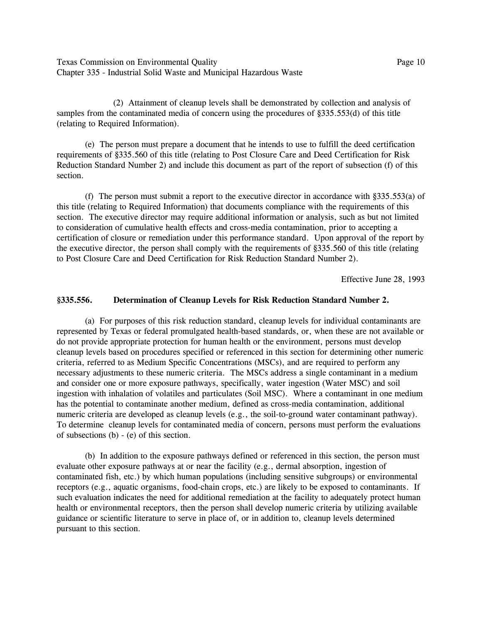Texas Commission on Environmental Quality Page 10 Chapter 335 - Industrial Solid Waste and Municipal Hazardous Waste

(2) Attainment of cleanup levels shall be demonstrated by collection and analysis of samples from the contaminated media of concern using the procedures of §335.553(d) of this title (relating to Required Information).

(e) The person must prepare a document that he intends to use to fulfill the deed certification requirements of ß335.560 of this title (relating to Post Closure Care and Deed Certification for Risk Reduction Standard Number 2) and include this document as part of the report of subsection (f) of this section.

(f) The person must submit a report to the executive director in accordance with  $\S 335.553(a)$  of this title (relating to Required Information) that documents compliance with the requirements of this section. The executive director may require additional information or analysis, such as but not limited to consideration of cumulative health effects and cross-media contamination, prior to accepting a certification of closure or remediation under this performance standard. Upon approval of the report by the executive director, the person shall comply with the requirements of ß335.560 of this title (relating to Post Closure Care and Deed Certification for Risk Reduction Standard Number 2).

Effective June 28, 1993

### **ß335.556. Determination of Cleanup Levels for Risk Reduction Standard Number 2.**

(a) For purposes of this risk reduction standard, cleanup levels for individual contaminants are represented by Texas or federal promulgated health-based standards, or, when these are not available or do not provide appropriate protection for human health or the environment, persons must develop cleanup levels based on procedures specified or referenced in this section for determining other numeric criteria, referred to as Medium Specific Concentrations (MSCs), and are required to perform any necessary adjustments to these numeric criteria. The MSCs address a single contaminant in a medium and consider one or more exposure pathways, specifically, water ingestion (Water MSC) and soil ingestion with inhalation of volatiles and particulates (Soil MSC). Where a contaminant in one medium has the potential to contaminate another medium, defined as cross-media contamination, additional numeric criteria are developed as cleanup levels (e.g., the soil-to-ground water contaminant pathway). To determine cleanup levels for contaminated media of concern, persons must perform the evaluations of subsections (b) - (e) of this section.

(b) In addition to the exposure pathways defined or referenced in this section, the person must evaluate other exposure pathways at or near the facility (e.g., dermal absorption, ingestion of contaminated fish, etc.) by which human populations (including sensitive subgroups) or environmental receptors (e.g., aquatic organisms, food-chain crops, etc.) are likely to be exposed to contaminants. If such evaluation indicates the need for additional remediation at the facility to adequately protect human health or environmental receptors, then the person shall develop numeric criteria by utilizing available guidance or scientific literature to serve in place of, or in addition to, cleanup levels determined pursuant to this section.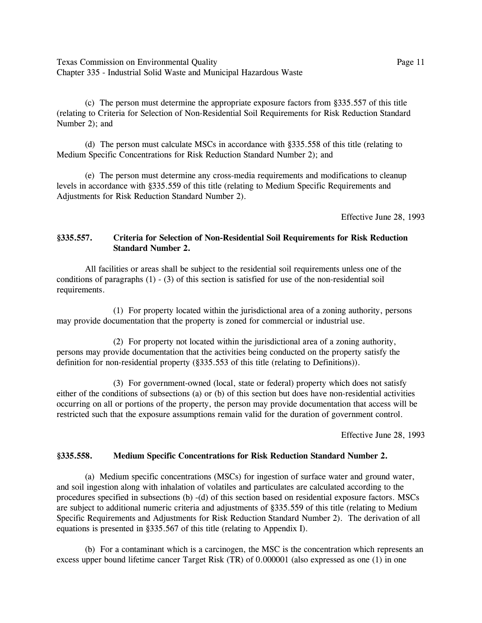Texas Commission on Environmental Quality Page 11 Chapter 335 - Industrial Solid Waste and Municipal Hazardous Waste

(c) The person must determine the appropriate exposure factors from ß335.557 of this title (relating to Criteria for Selection of Non-Residential Soil Requirements for Risk Reduction Standard Number 2); and

(d) The person must calculate MSCs in accordance with ß335.558 of this title (relating to Medium Specific Concentrations for Risk Reduction Standard Number 2); and

(e) The person must determine any cross-media requirements and modifications to cleanup levels in accordance with ß335.559 of this title (relating to Medium Specific Requirements and Adjustments for Risk Reduction Standard Number 2).

Effective June 28, 1993

## **ß335.557. Criteria for Selection of Non-Residential Soil Requirements for Risk Reduction Standard Number 2.**

All facilities or areas shall be subject to the residential soil requirements unless one of the conditions of paragraphs  $(1) - (3)$  of this section is satisfied for use of the non-residential soil requirements.

(1) For property located within the jurisdictional area of a zoning authority, persons may provide documentation that the property is zoned for commercial or industrial use.

(2) For property not located within the jurisdictional area of a zoning authority, persons may provide documentation that the activities being conducted on the property satisfy the definition for non-residential property (ß335.553 of this title (relating to Definitions)).

(3) For government-owned (local, state or federal) property which does not satisfy either of the conditions of subsections (a) or (b) of this section but does have non-residential activities occurring on all or portions of the property, the person may provide documentation that access will be restricted such that the exposure assumptions remain valid for the duration of government control.

Effective June 28, 1993

#### **ß335.558. Medium Specific Concentrations for Risk Reduction Standard Number 2.**

(a) Medium specific concentrations (MSCs) for ingestion of surface water and ground water, and soil ingestion along with inhalation of volatiles and particulates are calculated according to the procedures specified in subsections (b) -(d) of this section based on residential exposure factors. MSCs are subject to additional numeric criteria and adjustments of ß335.559 of this title (relating to Medium Specific Requirements and Adjustments for Risk Reduction Standard Number 2). The derivation of all equations is presented in ß335.567 of this title (relating to Appendix I).

(b) For a contaminant which is a carcinogen, the MSC is the concentration which represents an excess upper bound lifetime cancer Target Risk (TR) of 0.000001 (also expressed as one (1) in one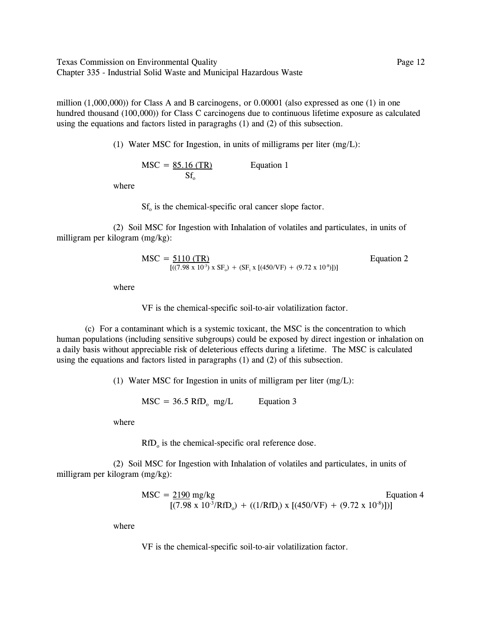Texas Commission on Environmental Quality Page 12 Chapter 335 - Industrial Solid Waste and Municipal Hazardous Waste

million  $(1,000,000)$ ) for Class A and B carcinogens, or 0.00001 (also expressed as one  $(1)$  in one hundred thousand (100,000)) for Class C carcinogens due to continuous lifetime exposure as calculated using the equations and factors listed in paragraghs (1) and (2) of this subsection.

(1) Water MSC for Ingestion, in units of milligrams per liter (mg/L):

 $MSC = 85.16$  (TR) Equation 1  $Sf_{0}$ 

where

 $Sf<sub>o</sub>$  is the chemical-specific oral cancer slope factor.

(2) Soil MSC for Ingestion with Inhalation of volatiles and particulates, in units of milligram per kilogram (mg/kg):

$$
MSC = \frac{5110 (TR)}{[(7.98 \times 10^{-3}) \times SF_0) + (SF_i \times [(450/VF) + (9.72 \times 10^{-8})])]}
$$
   
Equation 2

where

VF is the chemical-specific soil-to-air volatilization factor.

(c) For a contaminant which is a systemic toxicant, the MSC is the concentration to which human populations (including sensitive subgroups) could be exposed by direct ingestion or inhalation on a daily basis without appreciable risk of deleterious effects during a lifetime. The MSC is calculated using the equations and factors listed in paragraphs (1) and (2) of this subsection.

(1) Water MSC for Ingestion in units of milligram per liter (mg/L):

 $MSC = 36.5$  RfD<sub>o</sub> mg/L Equation 3

where

 $RfD<sub>o</sub>$  is the chemical-specific oral reference dose.

(2) Soil MSC for Ingestion with Inhalation of volatiles and particulates, in units of milligram per kilogram (mg/kg):

$$
MSC = \frac{2190}{(7.98 \times 10^{-3} / \text{RfD}_o)} + ((1 / \text{RfD}_i) \times [(450 / \text{VF}) + (9.72 \times 10^{-8})])
$$
Equation 4

where

VF is the chemical-specific soil-to-air volatilization factor.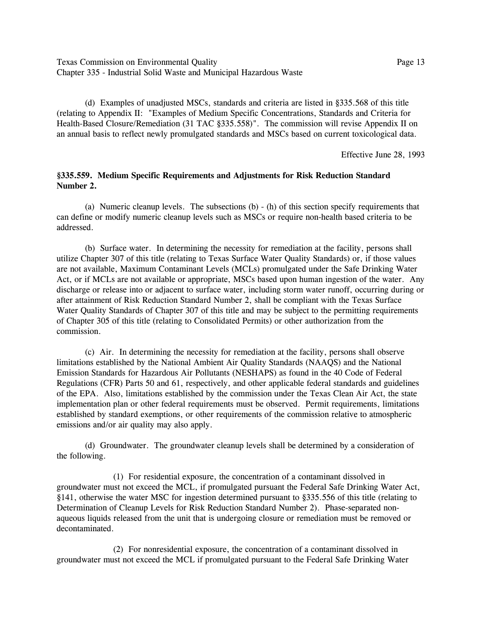Texas Commission on Environmental Quality Page 13 Chapter 335 - Industrial Solid Waste and Municipal Hazardous Waste

(d) Examples of unadjusted MSCs, standards and criteria are listed in ß335.568 of this title (relating to Appendix II: "Examples of Medium Specific Concentrations, Standards and Criteria for Health-Based Closure/Remediation (31 TAC §335.558)". The commission will revise Appendix II on an annual basis to reflect newly promulgated standards and MSCs based on current toxicological data.

Effective June 28, 1993

### **ß335.559. Medium Specific Requirements and Adjustments for Risk Reduction Standard Number 2.**

(a) Numeric cleanup levels. The subsections (b) - (h) of this section specify requirements that can define or modify numeric cleanup levels such as MSCs or require non-health based criteria to be addressed.

(b) Surface water. In determining the necessity for remediation at the facility, persons shall utilize Chapter 307 of this title (relating to Texas Surface Water Quality Standards) or, if those values are not available, Maximum Contaminant Levels (MCLs) promulgated under the Safe Drinking Water Act, or if MCLs are not available or appropriate, MSCs based upon human ingestion of the water. Any discharge or release into or adjacent to surface water, including storm water runoff, occurring during or after attainment of Risk Reduction Standard Number 2, shall be compliant with the Texas Surface Water Quality Standards of Chapter 307 of this title and may be subject to the permitting requirements of Chapter 305 of this title (relating to Consolidated Permits) or other authorization from the commission.

(c) Air. In determining the necessity for remediation at the facility, persons shall observe limitations established by the National Ambient Air Quality Standards (NAAQS) and the National Emission Standards for Hazardous Air Pollutants (NESHAPS) as found in the 40 Code of Federal Regulations (CFR) Parts 50 and 61, respectively, and other applicable federal standards and guidelines of the EPA. Also, limitations established by the commission under the Texas Clean Air Act, the state implementation plan or other federal requirements must be observed. Permit requirements, limitations established by standard exemptions, or other requirements of the commission relative to atmospheric emissions and/or air quality may also apply.

(d) Groundwater. The groundwater cleanup levels shall be determined by a consideration of the following.

(1) For residential exposure, the concentration of a contaminant dissolved in groundwater must not exceed the MCL, if promulgated pursuant the Federal Safe Drinking Water Act, ß141, otherwise the water MSC for ingestion determined pursuant to ß335.556 of this title (relating to Determination of Cleanup Levels for Risk Reduction Standard Number 2). Phase-separated nonaqueous liquids released from the unit that is undergoing closure or remediation must be removed or decontaminated.

(2) For nonresidential exposure, the concentration of a contaminant dissolved in groundwater must not exceed the MCL if promulgated pursuant to the Federal Safe Drinking Water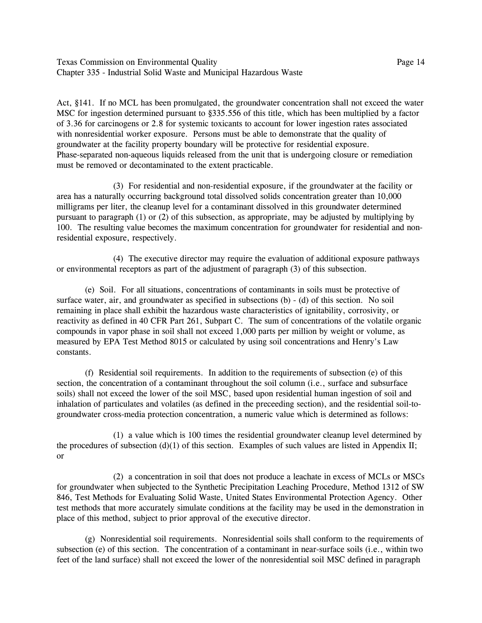Texas Commission on Environmental Quality Page 14 Chapter 335 - Industrial Solid Waste and Municipal Hazardous Waste

Act, ß141. If no MCL has been promulgated, the groundwater concentration shall not exceed the water MSC for ingestion determined pursuant to §335.556 of this title, which has been multiplied by a factor of 3.36 for carcinogens or 2.8 for systemic toxicants to account for lower ingestion rates associated with nonresidential worker exposure. Persons must be able to demonstrate that the quality of groundwater at the facility property boundary will be protective for residential exposure. Phase-separated non-aqueous liquids released from the unit that is undergoing closure or remediation must be removed or decontaminated to the extent practicable.

(3) For residential and non-residential exposure, if the groundwater at the facility or area has a naturally occurring background total dissolved solids concentration greater than 10,000 milligrams per liter, the cleanup level for a contaminant dissolved in this groundwater determined pursuant to paragraph (1) or (2) of this subsection, as appropriate, may be adjusted by multiplying by 100. The resulting value becomes the maximum concentration for groundwater for residential and nonresidential exposure, respectively.

(4) The executive director may require the evaluation of additional exposure pathways or environmental receptors as part of the adjustment of paragraph (3) of this subsection.

(e) Soil. For all situations, concentrations of contaminants in soils must be protective of surface water, air, and groundwater as specified in subsections (b) - (d) of this section. No soil remaining in place shall exhibit the hazardous waste characteristics of ignitability, corrosivity, or reactivity as defined in 40 CFR Part 261, Subpart C. The sum of concentrations of the volatile organic compounds in vapor phase in soil shall not exceed 1,000 parts per million by weight or volume, as measured by EPA Test Method 8015 or calculated by using soil concentrations and Henry's Law constants.

(f) Residential soil requirements. In addition to the requirements of subsection (e) of this section, the concentration of a contaminant throughout the soil column (i.e., surface and subsurface soils) shall not exceed the lower of the soil MSC, based upon residential human ingestion of soil and inhalation of particulates and volatiles (as defined in the preceeding section), and the residential soil-togroundwater cross-media protection concentration, a numeric value which is determined as follows:

(1) a value which is 100 times the residential groundwater cleanup level determined by the procedures of subsection (d)(1) of this section. Examples of such values are listed in Appendix II; or

(2) a concentration in soil that does not produce a leachate in excess of MCLs or MSCs for groundwater when subjected to the Synthetic Precipitation Leaching Procedure, Method 1312 of SW 846, Test Methods for Evaluating Solid Waste, United States Environmental Protection Agency. Other test methods that more accurately simulate conditions at the facility may be used in the demonstration in place of this method, subject to prior approval of the executive director.

(g) Nonresidential soil requirements. Nonresidential soils shall conform to the requirements of subsection (e) of this section. The concentration of a contaminant in near-surface soils (i.e., within two feet of the land surface) shall not exceed the lower of the nonresidential soil MSC defined in paragraph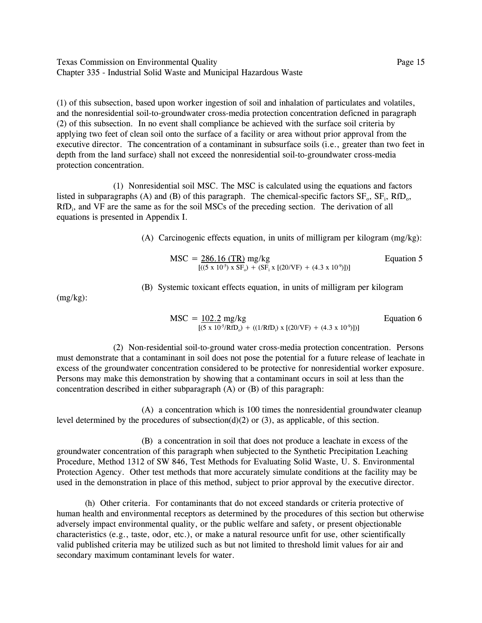Texas Commission on Environmental Quality Page 15 Chapter 335 - Industrial Solid Waste and Municipal Hazardous Waste

(1) of this subsection, based upon worker ingestion of soil and inhalation of particulates and volatiles, and the nonresidential soil-to-groundwater cross-media protection concentration deficned in paragraph (2) of this subsection. In no event shall compliance be achieved with the surface soil criteria by applying two feet of clean soil onto the surface of a facility or area without prior approval from the executive director. The concentration of a contaminant in subsurface soils (i.e., greater than two feet in depth from the land surface) shall not exceed the nonresidential soil-to-groundwater cross-media protection concentration.

(1) Nonresidential soil MSC. The MSC is calculated using the equations and factors listed in subparagraphs (A) and (B) of this paragraph. The chemical-specific factors  $SF_0$ ,  $SF_i$ ,  $RfD_0$ , RfD<sub>i</sub>, and VF are the same as for the soil MSCs of the preceding section. The derivation of all equations is presented in Appendix I.

(A) Carcinogenic effects equation, in units of milligram per kilogram (mg/kg):

$$
MSC = \frac{286.16 \text{ (TR)}}{[(5 \times 10^5) \times SF_0) + (SF_i \times [(20/VF) + (4.3 \times 10^9)])]}
$$
 Equation 5

(B) Systemic toxicant effects equation, in units of milligram per kilogram

(mg/kg):

$$
MSC = \frac{102.2 \text{ mg/kg}}{[(5 \times 10^{-5} / \text{RfD}_0) + ((1 / \text{RfD}_i) \times [(20 / \text{VF}) + (4.3 \times 10^{-9})])]}
$$
 Equation 6

(2) Non-residential soil-to-ground water cross-media protection concentration. Persons must demonstrate that a contaminant in soil does not pose the potential for a future release of leachate in excess of the groundwater concentration considered to be protective for nonresidential worker exposure. Persons may make this demonstration by showing that a contaminant occurs in soil at less than the concentration described in either subparagraph (A) or (B) of this paragraph:

(A) a concentration which is 100 times the nonresidential groundwater cleanup level determined by the procedures of subsection(d)(2) or (3), as applicable, of this section.

(B) a concentration in soil that does not produce a leachate in excess of the groundwater concentration of this paragraph when subjected to the Synthetic Precipitation Leaching Procedure, Method 1312 of SW 846, Test Methods for Evaluating Solid Waste, U. S. Environmental Protection Agency. Other test methods that more accurately simulate conditions at the facility may be used in the demonstration in place of this method, subject to prior approval by the executive director.

(h) Other criteria. For contaminants that do not exceed standards or criteria protective of human health and environmental receptors as determined by the procedures of this section but otherwise adversely impact environmental quality, or the public welfare and safety, or present objectionable characteristics (e.g., taste, odor, etc.), or make a natural resource unfit for use, other scientifically valid published criteria may be utilized such as but not limited to threshold limit values for air and secondary maximum contaminant levels for water.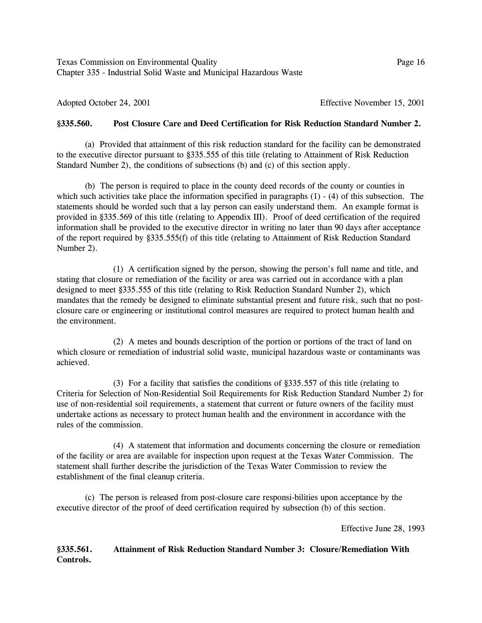Texas Commission on Environmental Quality Page 16 Chapter 335 - Industrial Solid Waste and Municipal Hazardous Waste

Adopted October 24, 2001 **Effective November 15, 2001 Effective November 15, 2001** 

## **ß335.560. Post Closure Care and Deed Certification for Risk Reduction Standard Number 2.**

(a) Provided that attainment of this risk reduction standard for the facility can be demonstrated to the executive director pursuant to ß335.555 of this title (relating to Attainment of Risk Reduction Standard Number 2), the conditions of subsections (b) and (c) of this section apply.

(b) The person is required to place in the county deed records of the county or counties in which such activities take place the information specified in paragraphs  $(1) - (4)$  of this subsection. The statements should be worded such that a lay person can easily understand them. An example format is provided in ß335.569 of this title (relating to Appendix III). Proof of deed certification of the required information shall be provided to the executive director in writing no later than 90 days after acceptance of the report required by ß335.555(f) of this title (relating to Attainment of Risk Reduction Standard Number 2).

(1) A certification signed by the person, showing the person's full name and title, and stating that closure or remediation of the facility or area was carried out in accordance with a plan designed to meet ß335.555 of this title (relating to Risk Reduction Standard Number 2), which mandates that the remedy be designed to eliminate substantial present and future risk, such that no postclosure care or engineering or institutional control measures are required to protect human health and the environment.

(2) A metes and bounds description of the portion or portions of the tract of land on which closure or remediation of industrial solid waste, municipal hazardous waste or contaminants was achieved.

(3) For a facility that satisfies the conditions of ß335.557 of this title (relating to Criteria for Selection of Non-Residential Soil Requirements for Risk Reduction Standard Number 2) for use of non-residential soil requirements, a statement that current or future owners of the facility must undertake actions as necessary to protect human health and the environment in accordance with the rules of the commission.

(4) A statement that information and documents concerning the closure or remediation of the facility or area are available for inspection upon request at the Texas Water Commission. The statement shall further describe the jurisdiction of the Texas Water Commission to review the establishment of the final cleanup criteria.

(c) The person is released from post-closure care responsi-bilities upon acceptance by the executive director of the proof of deed certification required by subsection (b) of this section.

Effective June 28, 1993

## **ß335.561. Attainment of Risk Reduction Standard Number 3: Closure/Remediation With Controls.**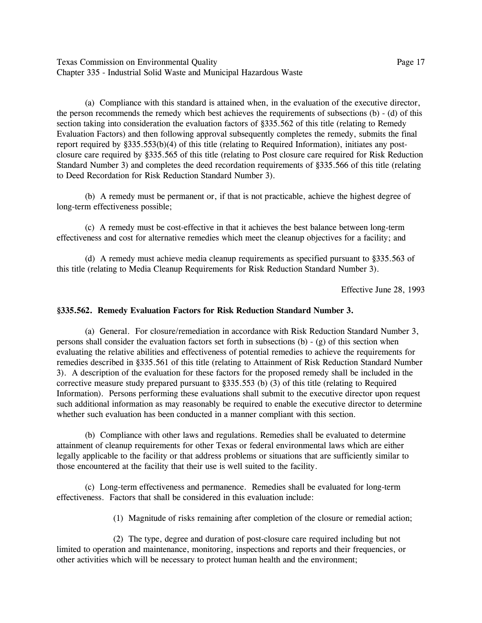Texas Commission on Environmental Quality Page 17 Chapter 335 - Industrial Solid Waste and Municipal Hazardous Waste

(a) Compliance with this standard is attained when, in the evaluation of the executive director, the person recommends the remedy which best achieves the requirements of subsections (b) - (d) of this section taking into consideration the evaluation factors of ß335.562 of this title (relating to Remedy Evaluation Factors) and then following approval subsequently completes the remedy, submits the final report required by ß335.553(b)(4) of this title (relating to Required Information), initiates any postclosure care required by ß335.565 of this title (relating to Post closure care required for Risk Reduction Standard Number 3) and completes the deed recordation requirements of §335.566 of this title (relating to Deed Recordation for Risk Reduction Standard Number 3).

(b) A remedy must be permanent or, if that is not practicable, achieve the highest degree of long-term effectiveness possible;

(c) A remedy must be cost-effective in that it achieves the best balance between long-term effectiveness and cost for alternative remedies which meet the cleanup objectives for a facility; and

(d) A remedy must achieve media cleanup requirements as specified pursuant to ß335.563 of this title (relating to Media Cleanup Requirements for Risk Reduction Standard Number 3).

Effective June 28, 1993

#### **ß335.562. Remedy Evaluation Factors for Risk Reduction Standard Number 3.**

(a) General. For closure/remediation in accordance with Risk Reduction Standard Number 3, persons shall consider the evaluation factors set forth in subsections  $(b) - (g)$  of this section when evaluating the relative abilities and effectiveness of potential remedies to achieve the requirements for remedies described in ß335.561 of this title (relating to Attainment of Risk Reduction Standard Number 3). A description of the evaluation for these factors for the proposed remedy shall be included in the corrective measure study prepared pursuant to ß335.553 (b) (3) of this title (relating to Required Information). Persons performing these evaluations shall submit to the executive director upon request such additional information as may reasonably be required to enable the executive director to determine whether such evaluation has been conducted in a manner compliant with this section.

(b) Compliance with other laws and regulations. Remedies shall be evaluated to determine attainment of cleanup requirements for other Texas or federal environmental laws which are either legally applicable to the facility or that address problems or situations that are sufficiently similar to those encountered at the facility that their use is well suited to the facility.

(c) Long-term effectiveness and permanence. Remedies shall be evaluated for long-term effectiveness. Factors that shall be considered in this evaluation include:

(1) Magnitude of risks remaining after completion of the closure or remedial action;

(2) The type, degree and duration of post-closure care required including but not limited to operation and maintenance, monitoring, inspections and reports and their frequencies, or other activities which will be necessary to protect human health and the environment;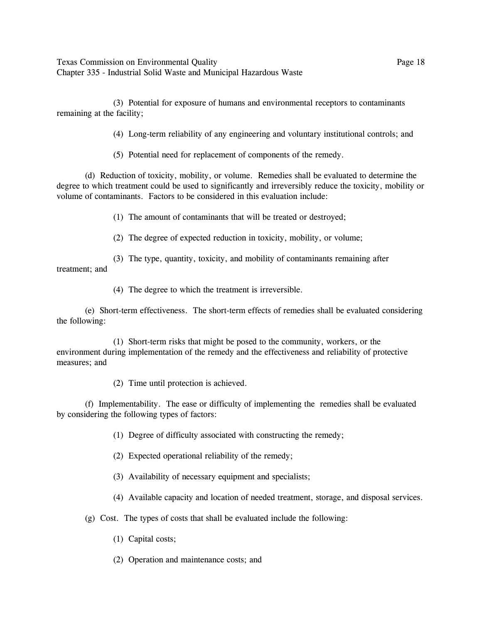Texas Commission on Environmental Quality Page 18 Chapter 335 - Industrial Solid Waste and Municipal Hazardous Waste

(3) Potential for exposure of humans and environmental receptors to contaminants remaining at the facility;

(4) Long-term reliability of any engineering and voluntary institutional controls; and

(5) Potential need for replacement of components of the remedy.

(d) Reduction of toxicity, mobility, or volume. Remedies shall be evaluated to determine the degree to which treatment could be used to significantly and irreversibly reduce the toxicity, mobility or volume of contaminants. Factors to be considered in this evaluation include:

(1) The amount of contaminants that will be treated or destroyed;

(2) The degree of expected reduction in toxicity, mobility, or volume;

(3) The type, quantity, toxicity, and mobility of contaminants remaining after treatment; and

(4) The degree to which the treatment is irreversible.

(e) Short-term effectiveness. The short-term effects of remedies shall be evaluated considering the following:

(1) Short-term risks that might be posed to the community, workers, or the environment during implementation of the remedy and the effectiveness and reliability of protective measures; and

(2) Time until protection is achieved.

(f) Implementability. The ease or difficulty of implementing the remedies shall be evaluated by considering the following types of factors:

(1) Degree of difficulty associated with constructing the remedy;

(2) Expected operational reliability of the remedy;

(3) Availability of necessary equipment and specialists;

(4) Available capacity and location of needed treatment, storage, and disposal services.

(g) Cost. The types of costs that shall be evaluated include the following:

(1) Capital costs;

(2) Operation and maintenance costs; and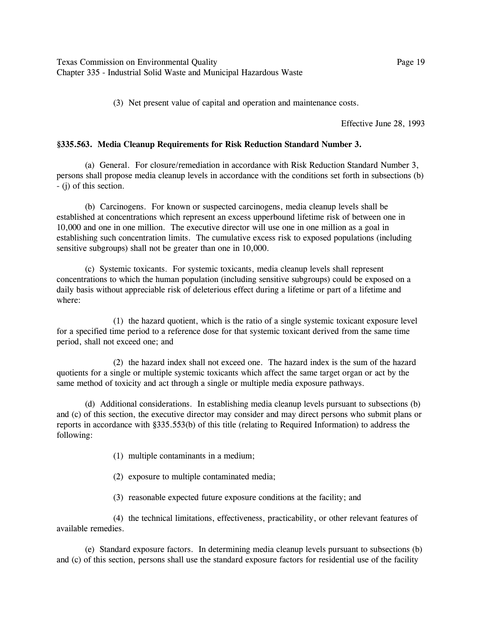(3) Net present value of capital and operation and maintenance costs.

Effective June 28, 1993

#### **ß335.563. Media Cleanup Requirements for Risk Reduction Standard Number 3.**

(a) General. For closure/remediation in accordance with Risk Reduction Standard Number 3, persons shall propose media cleanup levels in accordance with the conditions set forth in subsections (b) - (j) of this section.

(b) Carcinogens. For known or suspected carcinogens, media cleanup levels shall be established at concentrations which represent an excess upperbound lifetime risk of between one in 10,000 and one in one million. The executive director will use one in one million as a goal in establishing such concentration limits. The cumulative excess risk to exposed populations (including sensitive subgroups) shall not be greater than one in 10,000.

(c) Systemic toxicants. For systemic toxicants, media cleanup levels shall represent concentrations to which the human population (including sensitive subgroups) could be exposed on a daily basis without appreciable risk of deleterious effect during a lifetime or part of a lifetime and where:

(1) the hazard quotient, which is the ratio of a single systemic toxicant exposure level for a specified time period to a reference dose for that systemic toxicant derived from the same time period, shall not exceed one; and

(2) the hazard index shall not exceed one. The hazard index is the sum of the hazard quotients for a single or multiple systemic toxicants which affect the same target organ or act by the same method of toxicity and act through a single or multiple media exposure pathways.

(d) Additional considerations. In establishing media cleanup levels pursuant to subsections (b) and (c) of this section, the executive director may consider and may direct persons who submit plans or reports in accordance with ß335.553(b) of this title (relating to Required Information) to address the following:

(1) multiple contaminants in a medium;

(2) exposure to multiple contaminated media;

(3) reasonable expected future exposure conditions at the facility; and

(4) the technical limitations, effectiveness, practicability, or other relevant features of available remedies.

(e) Standard exposure factors. In determining media cleanup levels pursuant to subsections (b) and (c) of this section, persons shall use the standard exposure factors for residential use of the facility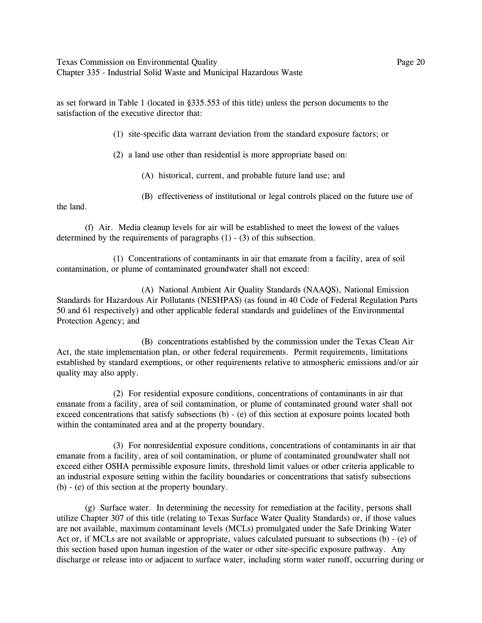Texas Commission on Environmental Quality Page 20 Chapter 335 - Industrial Solid Waste and Municipal Hazardous Waste

as set forward in Table 1 (located in ß335.553 of this title) unless the person documents to the satisfaction of the executive director that:

(1) site-specific data warrant deviation from the standard exposure factors; or

(2) a land use other than residential is more appropriate based on:

(A) historical, current, and probable future land use; and

(B) effectiveness of institutional or legal controls placed on the future use of

the land.

(f) Air. Media cleanup levels for air will be established to meet the lowest of the values determined by the requirements of paragraphs (1) - (3) of this subsection.

(1) Concentrations of contaminants in air that emanate from a facility, area of soil contamination, or plume of contaminated groundwater shall not exceed:

(A) National Ambient Air Quality Standards (NAAQS), National Emission Standards for Hazardous Air Pollutants (NESHPAS) (as found in 40 Code of Federal Regulation Parts 50 and 61 respectively) and other applicable federal standards and guidelines of the Environmental Protection Agency; and

(B) concentrations established by the commission under the Texas Clean Air Act, the state implementation plan, or other federal requirements. Permit requirements, limitations established by standard exemptions, or other requirements relative to atmospheric emissions and/or air quality may also apply.

(2) For residential exposure conditions, concentrations of contaminants in air that emanate from a facility, area of soil contamination, or plume of contaminated ground water shall not exceed concentrations that satisfy subsections (b) - (e) of this section at exposure points located both within the contaminated area and at the property boundary.

(3) For nonresidential exposure conditions, concentrations of contaminants in air that emanate from a facility, area of soil contamination, or plume of contaminated groundwater shall not exceed either OSHA permissible exposure limits, threshold limit values or other criteria applicable to an industrial exposure setting within the facility boundaries or concentrations that satisfy subsections (b) - (e) of this section at the property boundary.

(g) Surface water. In determining the necessity for remediation at the facility, persons shall utilize Chapter 307 of this title (relating to Texas Surface Water Quality Standards) or, if those values are not available, maximum contaminant levels (MCLs) promulgated under the Safe Drinking Water Act or, if MCLs are not available or appropriate, values calculated pursuant to subsections (b) - (e) of this section based upon human ingestion of the water or other site-specific exposure pathway. Any discharge or release into or adjacent to surface water, including storm water runoff, occurring during or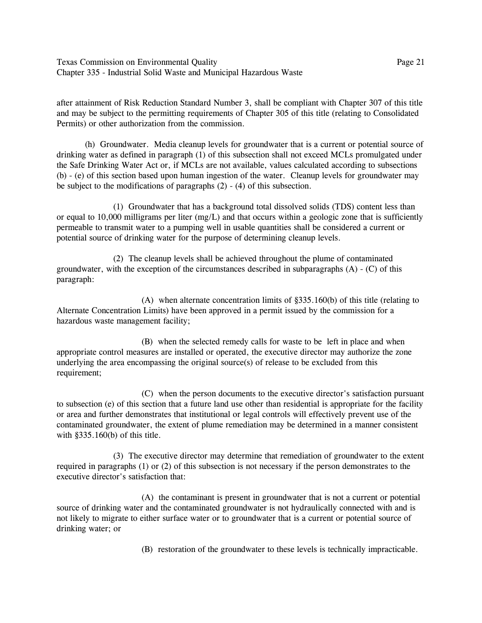Texas Commission on Environmental Quality Page 21 Chapter 335 - Industrial Solid Waste and Municipal Hazardous Waste

after attainment of Risk Reduction Standard Number 3, shall be compliant with Chapter 307 of this title and may be subject to the permitting requirements of Chapter 305 of this title (relating to Consolidated Permits) or other authorization from the commission.

(h) Groundwater. Media cleanup levels for groundwater that is a current or potential source of drinking water as defined in paragraph (1) of this subsection shall not exceed MCLs promulgated under the Safe Drinking Water Act or, if MCLs are not available, values calculated according to subsections (b) - (e) of this section based upon human ingestion of the water. Cleanup levels for groundwater may be subject to the modifications of paragraphs (2) - (4) of this subsection.

(1) Groundwater that has a background total dissolved solids (TDS) content less than or equal to 10,000 milligrams per liter (mg/L) and that occurs within a geologic zone that is sufficiently permeable to transmit water to a pumping well in usable quantities shall be considered a current or potential source of drinking water for the purpose of determining cleanup levels.

(2) The cleanup levels shall be achieved throughout the plume of contaminated groundwater, with the exception of the circumstances described in subparagraphs (A) - (C) of this paragraph:

(A) when alternate concentration limits of ß335.160(b) of this title (relating to Alternate Concentration Limits) have been approved in a permit issued by the commission for a hazardous waste management facility;

(B) when the selected remedy calls for waste to be left in place and when appropriate control measures are installed or operated, the executive director may authorize the zone underlying the area encompassing the original source(s) of release to be excluded from this requirement;

(C) when the person documents to the executive director's satisfaction pursuant to subsection (e) of this section that a future land use other than residential is appropriate for the facility or area and further demonstrates that institutional or legal controls will effectively prevent use of the contaminated groundwater, the extent of plume remediation may be determined in a manner consistent with  $§335.160(b)$  of this title.

(3) The executive director may determine that remediation of groundwater to the extent required in paragraphs (1) or (2) of this subsection is not necessary if the person demonstrates to the executive director's satisfaction that:

(A) the contaminant is present in groundwater that is not a current or potential source of drinking water and the contaminated groundwater is not hydraulically connected with and is not likely to migrate to either surface water or to groundwater that is a current or potential source of drinking water; or

(B) restoration of the groundwater to these levels is technically impracticable.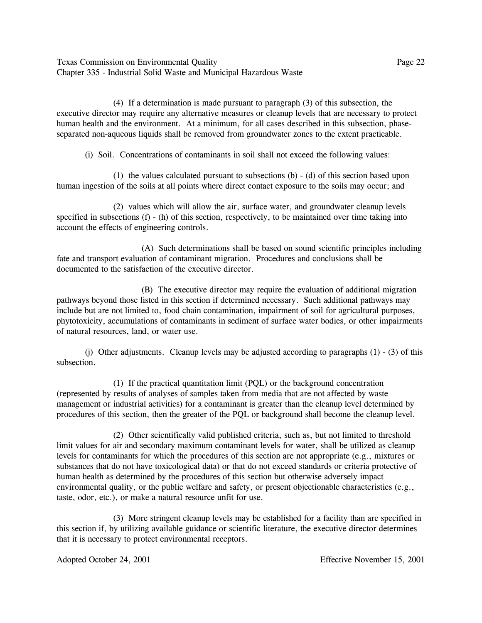Texas Commission on Environmental Quality **Page 22** Page 22 Chapter 335 - Industrial Solid Waste and Municipal Hazardous Waste

(4) If a determination is made pursuant to paragraph (3) of this subsection, the executive director may require any alternative measures or cleanup levels that are necessary to protect human health and the environment. At a minimum, for all cases described in this subsection, phaseseparated non-aqueous liquids shall be removed from groundwater zones to the extent practicable.

(i) Soil. Concentrations of contaminants in soil shall not exceed the following values:

(1) the values calculated pursuant to subsections (b) - (d) of this section based upon human ingestion of the soils at all points where direct contact exposure to the soils may occur; and

(2) values which will allow the air, surface water, and groundwater cleanup levels specified in subsections (f) - (h) of this section, respectively, to be maintained over time taking into account the effects of engineering controls.

(A) Such determinations shall be based on sound scientific principles including fate and transport evaluation of contaminant migration. Procedures and conclusions shall be documented to the satisfaction of the executive director.

(B) The executive director may require the evaluation of additional migration pathways beyond those listed in this section if determined necessary. Such additional pathways may include but are not limited to, food chain contamination, impairment of soil for agricultural purposes, phytotoxicity, accumulations of contaminants in sediment of surface water bodies, or other impairments of natural resources, land, or water use.

(i) Other adjustments. Cleanup levels may be adjusted according to paragraphs  $(1)$  -  $(3)$  of this subsection.

(1) If the practical quantitation limit (PQL) or the background concentration (represented by results of analyses of samples taken from media that are not affected by waste management or industrial activities) for a contaminant is greater than the cleanup level determined by procedures of this section, then the greater of the PQL or background shall become the cleanup level.

(2) Other scientifically valid published criteria, such as, but not limited to threshold limit values for air and secondary maximum contaminant levels for water, shall be utilized as cleanup levels for contaminants for which the procedures of this section are not appropriate (e.g., mixtures or substances that do not have toxicological data) or that do not exceed standards or criteria protective of human health as determined by the procedures of this section but otherwise adversely impact environmental quality, or the public welfare and safety, or present objectionable characteristics (e.g., taste, odor, etc.), or make a natural resource unfit for use.

(3) More stringent cleanup levels may be established for a facility than are specified in this section if, by utilizing available guidance or scientific literature, the executive director determines that it is necessary to protect environmental receptors.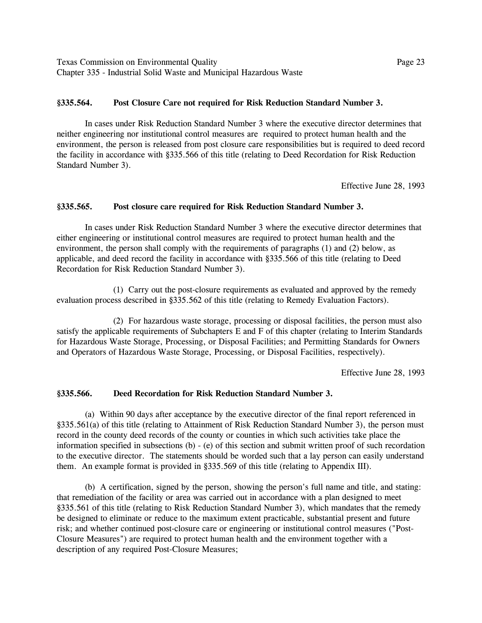Texas Commission on Environmental Quality Page 23 Chapter 335 - Industrial Solid Waste and Municipal Hazardous Waste

### **ß335.564. Post Closure Care not required for Risk Reduction Standard Number 3.**

In cases under Risk Reduction Standard Number 3 where the executive director determines that neither engineering nor institutional control measures are required to protect human health and the environment, the person is released from post closure care responsibilities but is required to deed record the facility in accordance with ß335.566 of this title (relating to Deed Recordation for Risk Reduction Standard Number 3).

Effective June 28, 1993

### **ß335.565. Post closure care required for Risk Reduction Standard Number 3.**

In cases under Risk Reduction Standard Number 3 where the executive director determines that either engineering or institutional control measures are required to protect human health and the environment, the person shall comply with the requirements of paragraphs (1) and (2) below, as applicable, and deed record the facility in accordance with ß335.566 of this title (relating to Deed Recordation for Risk Reduction Standard Number 3).

(1) Carry out the post-closure requirements as evaluated and approved by the remedy evaluation process described in §335.562 of this title (relating to Remedy Evaluation Factors).

(2) For hazardous waste storage, processing or disposal facilities, the person must also satisfy the applicable requirements of Subchapters E and F of this chapter (relating to Interim Standards for Hazardous Waste Storage, Processing, or Disposal Facilities; and Permitting Standards for Owners and Operators of Hazardous Waste Storage, Processing, or Disposal Facilities, respectively).

Effective June 28, 1993

### **ß335.566. Deed Recordation for Risk Reduction Standard Number 3.**

(a) Within 90 days after acceptance by the executive director of the final report referenced in ß335.561(a) of this title (relating to Attainment of Risk Reduction Standard Number 3), the person must record in the county deed records of the county or counties in which such activities take place the information specified in subsections (b) - (e) of this section and submit written proof of such recordation to the executive director. The statements should be worded such that a lay person can easily understand them. An example format is provided in ß335.569 of this title (relating to Appendix III).

(b) A certification, signed by the person, showing the person's full name and title, and stating: that remediation of the facility or area was carried out in accordance with a plan designed to meet ß335.561 of this title (relating to Risk Reduction Standard Number 3), which mandates that the remedy be designed to eliminate or reduce to the maximum extent practicable, substantial present and future risk; and whether continued post-closure care or engineering or institutional control measures ("Post-Closure Measures") are required to protect human health and the environment together with a description of any required Post-Closure Measures;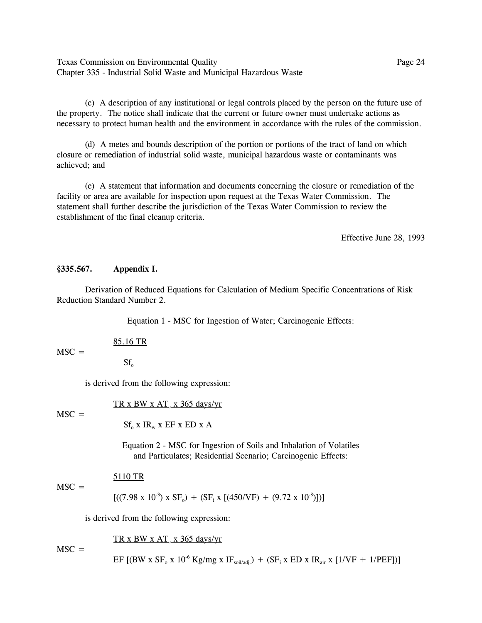Texas Commission on Environmental Quality Page 24 Chapter 335 - Industrial Solid Waste and Municipal Hazardous Waste

(c) A description of any institutional or legal controls placed by the person on the future use of the property. The notice shall indicate that the current or future owner must undertake actions as necessary to protect human health and the environment in accordance with the rules of the commission.

(d) A metes and bounds description of the portion or portions of the tract of land on which closure or remediation of industrial solid waste, municipal hazardous waste or contaminants was achieved; and

(e) A statement that information and documents concerning the closure or remediation of the facility or area are available for inspection upon request at the Texas Water Commission. The statement shall further describe the jurisdiction of the Texas Water Commission to review the establishment of the final cleanup criteria.

Effective June 28, 1993

#### **ß335.567. Appendix I.**

Derivation of Reduced Equations for Calculation of Medium Specific Concentrations of Risk Reduction Standard Number 2.

Equation 1 - MSC for Ingestion of Water; Carcinogenic Effects:

85.16 TR

 $MSC =$ 

 $Sf_{o}$ 

is derived from the following expression:

TR x BW x  $AT_c$  x 365 days/yr

 $MSC =$ 

 $Sf_0$  x  $IR_w$  x  $EF$  x  $ED$  x A

Equation 2 - MSC for Ingestion of Soils and Inhalation of Volatiles and Particulates; Residential Scenario; Carcinogenic Effects:

## 5110 TR

 $[((7.98 \times 10^3) \times SF_0) + (SF_i \times [(450/VF) + (9.72 \times 10^8)])]$ 

is derived from the following expression:

TR x BW x  $AT_c$  x 365 days/yr

 $MSC =$ 

 $MSC =$ 

EF [(BW x SF<sub>o</sub> x 10<sup>-6</sup> Kg/mg x IF<sub>soil/adj.</sub>) + (SF<sub>i</sub> x ED x IR<sub>air</sub> x [1/VF + 1/PEF])]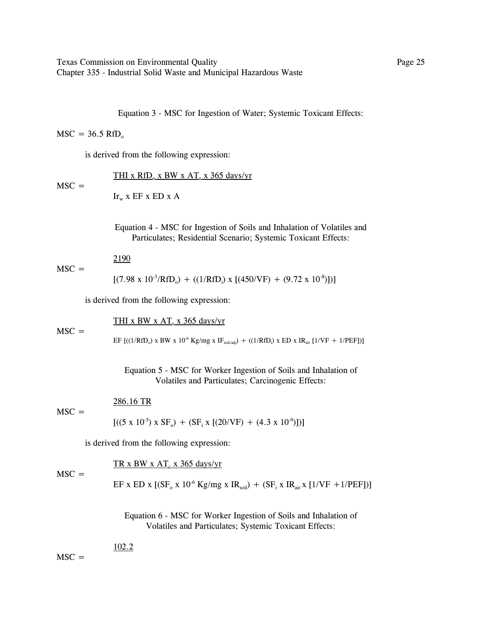Texas Commission on Environmental Quality Page 25 Chapter 335 - Industrial Solid Waste and Municipal Hazardous Waste

Equation 3 - MSC for Ingestion of Water; Systemic Toxicant Effects:

### $MSC = 36.5$  RfD<sub>o</sub>

is derived from the following expression:

THI x  $RfD_0$  x BW x  $AT_s$  x 365 days/yr

 $MSC =$ 

 $MSC =$ 

 $MSC =$ 

 $Ir_{w}$  x EF x ED x A

Equation 4 - MSC for Ingestion of Soils and Inhalation of Volatiles and Particulates; Residential Scenario; Systemic Toxicant Effects:

#### 2190  $MSC =$

 $[(7.98 \times 10^{-3} / \text{RfD}_0) + ((1 / \text{RfD}_i) \times [(450 / \text{VF}) + (9.72 \times 10^{-8})])]$ 

is derived from the following expression:

THI x BW x  $AT$ <sub>s</sub> x 365 days/yr

EF [((1/RfD<sub>o</sub>) x BW x 10<sup>-6</sup> Kg/mg x IF<sub>soil/adj</sub>) + ((1/RfD<sub>i</sub>) x ED x IR<sub>air</sub> [1/VF + 1/PEF])]

Equation 5 - MSC for Worker Ingestion of Soils and Inhalation of Volatiles and Particulates; Carcinogenic Effects:

286.16 TR

 $[ ( (5 \times 10^{-5}) \times SF_0) + (SF_i \times [(20/VF) + (4.3 \times 10^{-9})]) ]$ 

is derived from the following expression:

$$
\underline{\text{TR x BW x AT}_c \text{ x 365 days/yr}}
$$

 $MSC =$  $EF$  x  $ED$  x  $[(SF_0 \times 10^{-6} \text{Kg/mg} \times IR_{soil}) + (SF_i \times IR_{air} \times [1/VF + 1/PEF])]$ 

> Equation 6 - MSC for Worker Ingestion of Soils and Inhalation of Volatiles and Particulates; Systemic Toxicant Effects:

102.2

 $MSC =$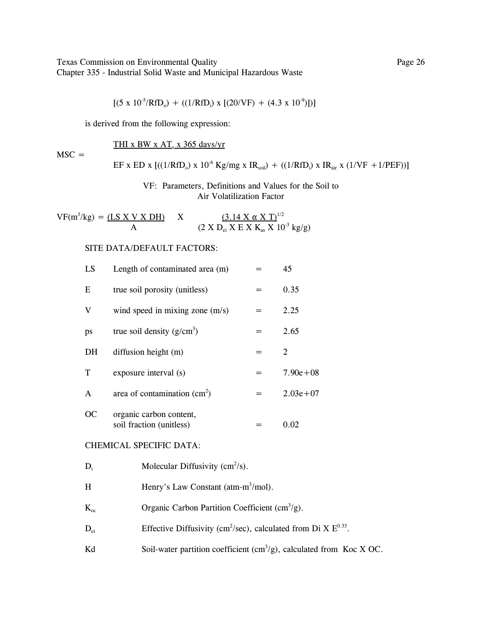Texas Commission on Environmental Quality Page 26 Chapter 335 - Industrial Solid Waste and Municipal Hazardous Waste

$$
[(5 \times 10^{-5} / \text{RfD}_{0}) + ((1 / \text{RfD}_{i}) \times [(20 / \text{VF}) + (4.3 \times 10^{-9})])]
$$

is derived from the following expression:

THI x BW x  $AT_s$  x 365 days/yr

 $MSC =$ 

EF x ED x 
$$
[(1/RFD_0) \times 10^{-6} \text{ Kg/mg} \times IR_{\text{soil}}) + ((1/RFD_i) \times IR_{\text{air}} \times (1/VF + 1/PEF))]
$$

## VF: Parameters, Definitions and Values for the Soil to Air Volatilization Factor

 $VF(m^3/kg) = (\underline{LS} \times \underline{V} \times \underline{DH})$  $(kg) = (LS X V X DH)$  X  $(3.14 X \alpha X T)^{1/2}$ A (2 X  $D_{ei}$  X E X  $K_{as}$  X  $10^{3}$  kg/g)

### SITE DATA/DEFAULT FACTORS:

| LS            | Length of contaminated area (m)                     |     | 45           |
|---------------|-----------------------------------------------------|-----|--------------|
| E             | true soil porosity (unitless)                       |     | 0.35         |
| V             | wind speed in mixing zone $(m/s)$                   |     | 2.25         |
| ps            | true soil density $(g/cm^3)$                        | $=$ | 2.65         |
| DH            | diffusion height (m)                                | $=$ | 2            |
| T             | exposure interval (s)                               |     | $7.90e + 08$ |
| A             | area of contamination $(cm2)$                       | $=$ | $2.03e + 07$ |
| <sub>OC</sub> | organic carbon content,<br>soil fraction (unitless) |     | 0.02         |

## CHEMICAL SPECIFIC DATA:

- H Henry's Law Constant (atm-m<sup>3</sup>/mol).
- $K_{oc}$  Organic Carbon Partition Coefficient (cm<sup>3</sup>/g).
- $D_{ei}$  Effective Diffusivity (cm<sup>2</sup>/sec), calculated from Di X  $E^{0.33}$ .
- Kd Soil-water partition coefficient  $(cm<sup>3</sup>/g)$ , calculated from Koc X OC.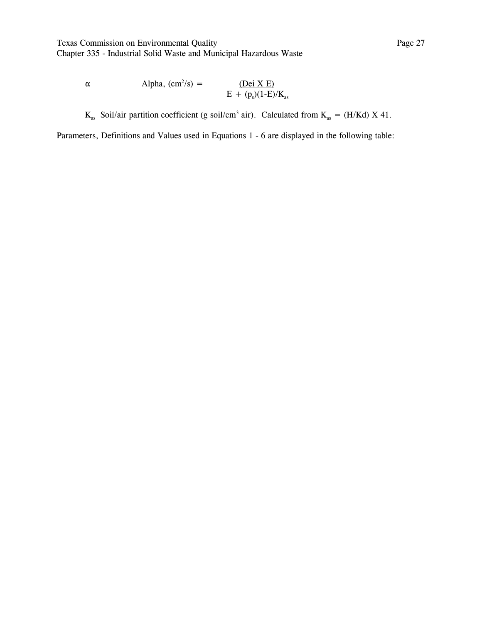Texas Commission on Environmental Quality **Page 27** Page 27 Chapter 335 - Industrial Solid Waste and Municipal Hazardous Waste

 $\alpha$  Alpha,  $\text{(cm}^2\text{/s)}$  =  $\sqrt{s}$  =  $(\text{Dei X E})$  $E + (p_s)(1-E)/K_{as}$ 

 $K_{as}$  Soil/air partition coefficient (g soil/cm<sup>3</sup> air). Calculated from  $K_{as} = (H/Kd) X 41$ .

Parameters, Definitions and Values used in Equations 1 - 6 are displayed in the following table: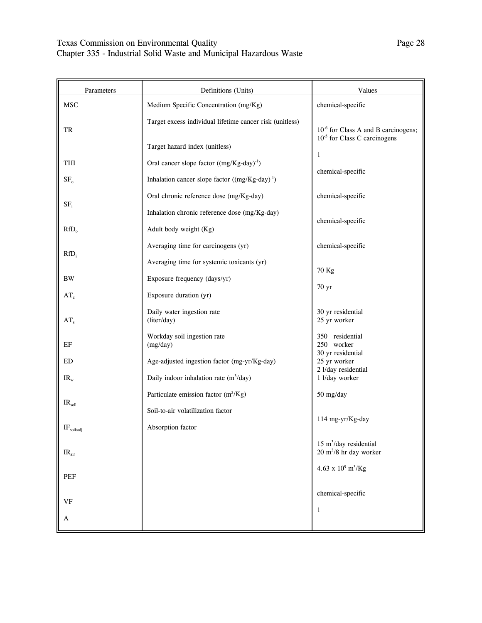| Parameters        | Definitions (Units)                                                                        | Values                                                                               |
|-------------------|--------------------------------------------------------------------------------------------|--------------------------------------------------------------------------------------|
| <b>MSC</b>        | Medium Specific Concentration (mg/Kg)                                                      | chemical-specific                                                                    |
| TR                | Target excess individual lifetime cancer risk (unitless)<br>Target hazard index (unitless) | 10 <sup>-6</sup> for Class A and B carcinogens;<br>$10^{-5}$ for Class C carcinogens |
| THI               | Oral cancer slope factor $((mg/Kg-day)^{-1})$                                              | $\mathbf{1}$                                                                         |
| SF <sub>o</sub>   | Inhalation cancer slope factor $((mg/Kg-day)^{-1})$                                        | chemical-specific                                                                    |
| $SF_i$            | Oral chronic reference dose (mg/Kg-day)                                                    | chemical-specific                                                                    |
|                   | Inhalation chronic reference dose (mg/Kg-day)                                              | chemical-specific                                                                    |
| $RfD_0$           | Adult body weight (Kg)                                                                     |                                                                                      |
| $RfD_i$           | Averaging time for carcinogens (yr)                                                        | chemical-specific                                                                    |
|                   | Averaging time for systemic toxicants (yr)                                                 | 70 Kg                                                                                |
| <b>BW</b>         | Exposure frequency (days/yr)                                                               | 70 yr                                                                                |
| $AT_c$            | Exposure duration (yr)                                                                     |                                                                                      |
| AT <sub>s</sub>   | Daily water ingestion rate<br>(liter/day)                                                  | 30 yr residential<br>25 yr worker                                                    |
| EF                | Workday soil ingestion rate<br>(mg/day)                                                    | 350 residential<br>250 worker                                                        |
| ED                | Age-adjusted ingestion factor (mg-yr/Kg-day)                                               | 30 yr residential<br>25 yr worker                                                    |
| $IR_{w}$          | Daily indoor inhalation rate $(m^3/day)$                                                   | 2 l/day residential<br>1 l/day worker                                                |
|                   | Particulate emission factor $(m^3/Kg)$                                                     | 50 mg/day                                                                            |
| $IR_{\rm soil}$   | Soil-to-air volatilization factor                                                          |                                                                                      |
| $IF_{soil/adj}$   | Absorption factor                                                                          | 114 mg-yr/Kg-day                                                                     |
| IR <sub>air</sub> |                                                                                            | $15 \text{ m}^3$ /day residential<br>$20 \text{ m}^3/8$ hr day worker                |
| PEF               |                                                                                            | $4.63\ \text{x}\ 10^9\ \text{m}^3\text{/Kg}$                                         |
| <b>VF</b>         |                                                                                            | chemical-specific                                                                    |
| A                 |                                                                                            | $\mathbf{1}$                                                                         |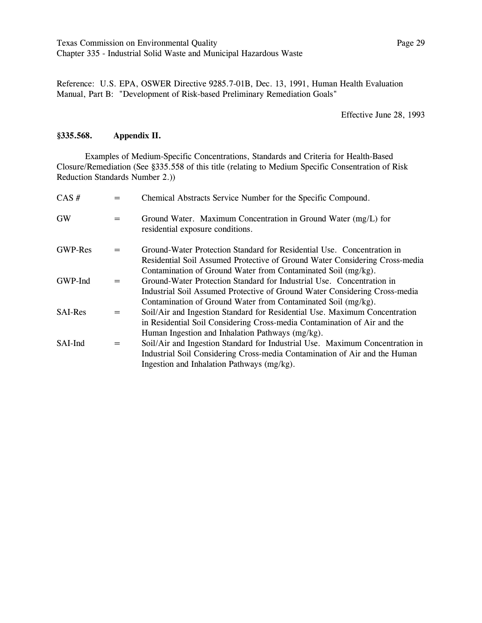Reference: U.S. EPA, OSWER Directive 9285.7-01B, Dec. 13, 1991, Human Health Evaluation Manual, Part B: "Development of Risk-based Preliminary Remediation Goals"

### Effective June 28, 1993

### **ß335.568. Appendix II.**

Examples of Medium-Specific Concentrations, Standards and Criteria for Health-Based Closure/Remediation (See ß335.558 of this title (relating to Medium Specific Consentration of Risk Reduction Standards Number 2.))

| $CAS \#$       |     | Chemical Abstracts Service Number for the Specific Compound.                                                                                          |
|----------------|-----|-------------------------------------------------------------------------------------------------------------------------------------------------------|
| <b>GW</b>      | $=$ | Ground Water. Maximum Concentration in Ground Water (mg/L) for<br>residential exposure conditions.                                                    |
| <b>GWP-Res</b> | $=$ | Ground-Water Protection Standard for Residential Use. Concentration in<br>Residential Soil Assumed Protective of Ground Water Considering Cross-media |
|                |     | Contamination of Ground Water from Contaminated Soil (mg/kg).                                                                                         |
| GWP-Ind        | $=$ | Ground-Water Protection Standard for Industrial Use. Concentration in                                                                                 |
|                |     | Industrial Soil Assumed Protective of Ground Water Considering Cross-media                                                                            |
|                |     | Contamination of Ground Water from Contaminated Soil (mg/kg).                                                                                         |
| <b>SAI-Res</b> | $=$ | Soil/Air and Ingestion Standard for Residential Use. Maximum Concentration                                                                            |
|                |     | in Residential Soil Considering Cross-media Contamination of Air and the                                                                              |
|                |     | Human Ingestion and Inhalation Pathways (mg/kg).                                                                                                      |
| SAI-Ind        | $=$ | Soil/Air and Ingestion Standard for Industrial Use. Maximum Concentration in                                                                          |
|                |     | Industrial Soil Considering Cross-media Contamination of Air and the Human                                                                            |
|                |     | Ingestion and Inhalation Pathways (mg/kg).                                                                                                            |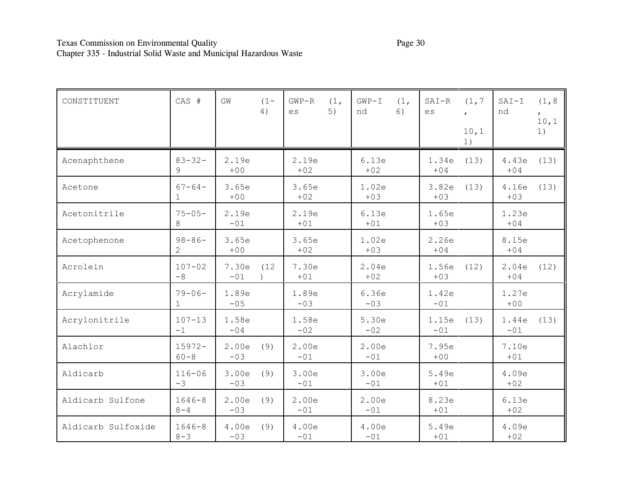| CONSTITUENT        | CAS #                       | GW             | $(1 -$<br>4) | $GWP-R$<br>es  | (1,<br>5) | $GWP-I$<br>nd  | (1,<br>6) | $SAT-R$<br>es  | (1, 7)<br>$\mathbf{r}$<br>10,1<br>1) | $SAT-I$<br>nd  | (1, 8)<br>10,1<br>1) |
|--------------------|-----------------------------|----------------|--------------|----------------|-----------|----------------|-----------|----------------|--------------------------------------|----------------|----------------------|
| Acenaphthene       | $83 - 32 -$<br>9            | 2.19e<br>$+00$ |              | 2.19e<br>$+02$ |           | 6.13e<br>$+02$ |           | 1.34e<br>$+04$ | (13)                                 | 4.43e<br>$+04$ | (13)                 |
| Acetone            | $67 - 64 -$<br>$\mathbf{1}$ | 3.65e<br>$+00$ |              | 3.65e<br>$+02$ |           | 1.02e<br>$+03$ |           | 3.82e<br>$+03$ | (13)                                 | 4.16e<br>$+03$ | (13)                 |
| Acetonitrile       | $75 - 05 -$<br>8            | 2.19e<br>$-01$ |              | 2.19e<br>$+01$ |           | 6.13e<br>$+01$ |           | 1.65e<br>$+03$ |                                      | 1.23e<br>$+04$ |                      |
| Acetophenone       | $98 - 86 -$<br>2            | 3.65e<br>$+00$ |              | 3.65e<br>$+02$ |           | 1.02e<br>$+03$ |           | 2.26e<br>$+04$ |                                      | 8.15e<br>$+04$ |                      |
| Acrolein           | $107 - 02$<br>$-8$          | 7.30e<br>$-01$ | (12)         | 7.30e<br>$+01$ |           | 2.04e<br>$+02$ |           | 1.56e<br>$+03$ | (12)                                 | 2.04e<br>$+04$ | (12)                 |
| Acrylamide         | $79 - 06 -$<br>$\mathbf{1}$ | 1.89e<br>$-05$ |              | 1.89e<br>$-03$ |           | 6.36e<br>$-03$ |           | 1.42e<br>$-01$ |                                      | 1.27e<br>$+00$ |                      |
| Acrylonitrile      | $107 - 13$<br>$-1$          | 1.58e<br>$-04$ |              | 1.58e<br>$-02$ |           | 5.30e<br>$-02$ |           | 1.15e<br>$-01$ | (13)                                 | 1.44e<br>$-01$ | (13)                 |
| Alachlor           | $15972 -$<br>$60 - 8$       | 2.00e<br>$-03$ | (9)          | 2.00e<br>$-01$ |           | 2.00e<br>$-01$ |           | 7.95e<br>$+00$ |                                      | 7.10e<br>$+01$ |                      |
| Aldicarb           | $116 - 06$<br>$-3$          | 3.00e<br>$-03$ | (9)          | 3.00e<br>$-01$ |           | 3.00e<br>$-01$ |           | 5.49e<br>$+01$ |                                      | 4.09e<br>$+02$ |                      |
| Aldicarb Sulfone   | $1646 - 8$<br>$8 - 4$       | 2.00e<br>$-03$ | (9)          | 2.00e<br>$-01$ |           | 2.00e<br>$-01$ |           | 8.23e<br>$+01$ |                                      | 6.13e<br>$+02$ |                      |
| Aldicarb Sulfoxide | $1646 - 8$<br>$8 - 3$       | 4.00e<br>$-03$ | (9)          | 4.00e<br>$-01$ |           | 4.00e<br>$-01$ |           | 5.49e<br>$+01$ |                                      | 4.09e<br>$+02$ |                      |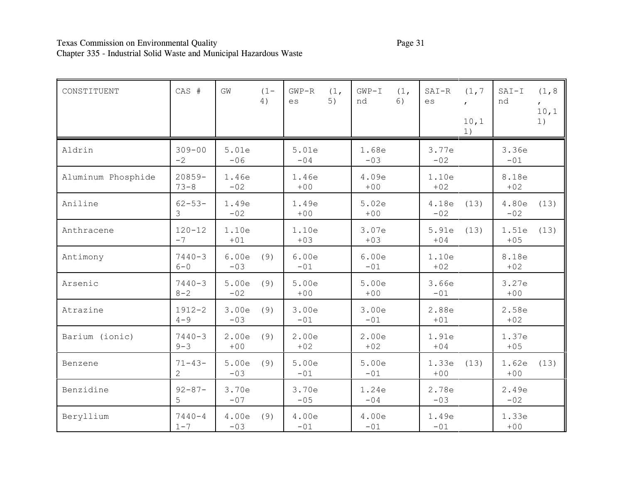# Texas Commission on Environmental Quality Page 31 Chapter 335 - Industrial Solid Waste and Municipal Hazardous Waste

| CONSTITUENT        | CAS #                         | GW             | $(1 -$<br>4) | $GWP-R$<br>es  | (1,<br>5) | $GWP-I$<br>nd  | (1,<br>6) | $SAT-R$<br>es  | (1, 7)<br>$\mathbf{r}$<br>10,1<br>1) | $SAT-I$<br>nd  | (1, 8)<br>10,1<br>1) |
|--------------------|-------------------------------|----------------|--------------|----------------|-----------|----------------|-----------|----------------|--------------------------------------|----------------|----------------------|
| Aldrin             | $309 - 00$<br>$-2$            | 5.01e<br>$-06$ |              | 5.01e<br>$-04$ |           | 1.68e<br>$-03$ |           | 3.77e<br>$-02$ |                                      | 3.36e<br>$-01$ |                      |
| Aluminum Phosphide | $20859 -$<br>$73 - 8$         | 1.46e<br>$-02$ |              | 1.46e<br>$+00$ |           | 4.09e<br>$+00$ |           | 1.10e<br>$+02$ |                                      | 8.18e<br>$+02$ |                      |
| Aniline            | $62 - 53 -$<br>3              | 1.49e<br>$-02$ |              | 1.49e<br>$+00$ |           | 5.02e<br>$+00$ |           | 4.18e<br>$-02$ | (13)                                 | 4.80e<br>$-02$ | (13)                 |
| Anthracene         | $120 - 12$<br>$-7$            | 1.10e<br>$+01$ |              | 1.10e<br>$+03$ |           | 3.07e<br>$+03$ |           | 5.91e<br>$+04$ | (13)                                 | 1.51e<br>$+05$ | (13)                 |
| Antimony           | $7440 - 3$<br>$6 - 0$         | 6.00e<br>$-03$ | (9)          | 6.00e<br>$-01$ |           | 6.00e<br>$-01$ |           | 1.10e<br>$+02$ |                                      | 8.18e<br>$+02$ |                      |
| Arsenic            | $7440 - 3$<br>$8 - 2$         | 5.00e<br>$-02$ | (9)          | 5.00e<br>$+00$ |           | 5.00e<br>$+00$ |           | 3.66e<br>$-01$ |                                      | 3.27e<br>$+00$ |                      |
| Atrazine           | $1912 - 2$<br>$4 - 9$         | 3.00e<br>$-03$ | (9)          | 3.00e<br>$-01$ |           | 3.00e<br>$-01$ |           | 2.88e<br>$+01$ |                                      | 2.58e<br>$+02$ |                      |
| Barium (ionic)     | $7440 - 3$<br>$9 - 3$         | 2.00e<br>$+00$ | (9)          | 2.00e<br>$+02$ |           | 2.00e<br>$+02$ |           | 1.91e<br>$+04$ |                                      | 1.37e<br>$+05$ |                      |
| Benzene            | $71 - 43 -$<br>$\overline{2}$ | 5.00e<br>$-03$ | (9)          | 5.00e<br>$-01$ |           | 5.00e<br>$-01$ |           | 1.33e<br>$+00$ | (13)                                 | 1.62e<br>$+00$ | (13)                 |
| Benzidine          | $92 - 87 -$<br>5              | 3.70e<br>$-07$ |              | 3.70e<br>$-05$ |           | 1.24e<br>$-04$ |           | 2.78e<br>$-03$ |                                      | 2.49e<br>$-02$ |                      |
| Beryllium          | $7440 - 4$<br>$1 - 7$         | 4.00e<br>$-03$ | (9)          | 4.00e<br>$-01$ |           | 4.00e<br>$-01$ |           | 1.49e<br>$-01$ |                                      | 1.33e<br>$+00$ |                      |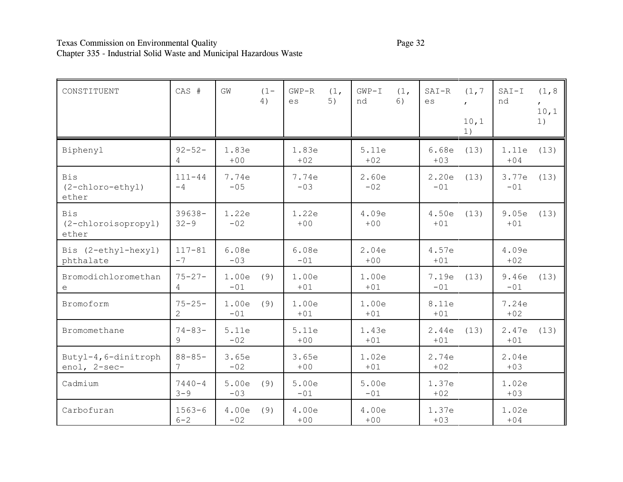# Texas Commission on Environmental Quality Page 32 Chapter 335 - Industrial Solid Waste and Municipal Hazardous Waste

| CONSTITUENT                                | CAS #                         | GW             | $(1 -$<br>4) | $GWP-R$<br>es  | (1,<br>5) | $GWP-I$<br>nd  | (1,<br>6) | $SAT-R$<br>es  | (1, 7)<br>$\mathbf{r}$<br>10,1<br>1) | $SAT-I$<br>nd  | (1, 8)<br>$\mathbf{r}$<br>10, 1<br>1) |
|--------------------------------------------|-------------------------------|----------------|--------------|----------------|-----------|----------------|-----------|----------------|--------------------------------------|----------------|---------------------------------------|
| Biphenyl                                   | $92 - 52 -$<br>4              | 1.83e<br>$+00$ |              | 1.83e<br>$+02$ |           | 5.11e<br>$+02$ |           | 6.68e<br>$+03$ | (13)                                 | 1.11e<br>$+04$ | (13)                                  |
| <b>Bis</b><br>(2-chloro-ethyl)<br>ether    | $111 - 44$<br>$-4$            | 7.74e<br>$-05$ |              | 7.74e<br>$-03$ |           | 2.60e<br>$-02$ |           | 2.20e<br>$-01$ | (13)                                 | 3.77e<br>$-01$ | (13)                                  |
| <b>Bis</b><br>(2-chloroisopropyl)<br>ether | $39638 -$<br>$32 - 9$         | 1.22e<br>$-02$ |              | 1.22e<br>$+00$ |           | 4.09e<br>$+00$ |           | 4.50e<br>$+01$ | (13)                                 | 9.05e<br>$+01$ | (13)                                  |
| Bis (2-ethyl-hexyl)<br>phthalate           | $117 - 81$<br>$-7$            | 6.08e<br>$-03$ |              | 6.08e<br>$-01$ |           | 2.04e<br>$+00$ |           | 4.57e<br>$+01$ |                                      | 4.09e<br>$+02$ |                                       |
| Bromodichloromethan<br>e                   | $75 - 27 -$<br>4              | 1.00e<br>$-01$ | (9)          | 1.00e<br>$+01$ |           | 1.00e<br>$+01$ |           | 7.19e<br>$-01$ | (13)                                 | 9.46e<br>$-01$ | (13)                                  |
| Bromoform                                  | $75 - 25 -$<br>$\overline{2}$ | 1.00e<br>$-01$ | (9)          | 1.00e<br>$+01$ |           | 1.00e<br>$+01$ |           | 8.11e<br>$+01$ |                                      | 7.24e<br>$+02$ |                                       |
| Bromomethane                               | $74 - 83 -$<br>$\overline{9}$ | 5.11e<br>$-02$ |              | 5.11e<br>$+00$ |           | 1.43e<br>$+01$ |           | 2.44e<br>$+01$ | (13)                                 | 2.47e<br>$+01$ | (13)                                  |
| Butyl-4, 6-dinitroph<br>enol, 2-sec-       | $88 - 85 -$<br>7              | 3.65e<br>$-02$ |              | 3.65e<br>$+00$ |           | 1.02e<br>$+01$ |           | 2.74e<br>$+02$ |                                      | 2.04e<br>$+03$ |                                       |
| Cadmium                                    | $7440 - 4$<br>$3 - 9$         | 5.00e<br>$-03$ | (9)          | 5.00e<br>$-01$ |           | 5.00e<br>$-01$ |           | 1.37e<br>$+02$ |                                      | 1.02e<br>$+03$ |                                       |
| Carbofuran                                 | $1563 - 6$<br>$6 - 2$         | 4.00e<br>$-02$ | (9)          | 4.00e<br>$+00$ |           | 4.00e<br>$+00$ |           | 1.37e<br>$+03$ |                                      | 1.02e<br>$+04$ |                                       |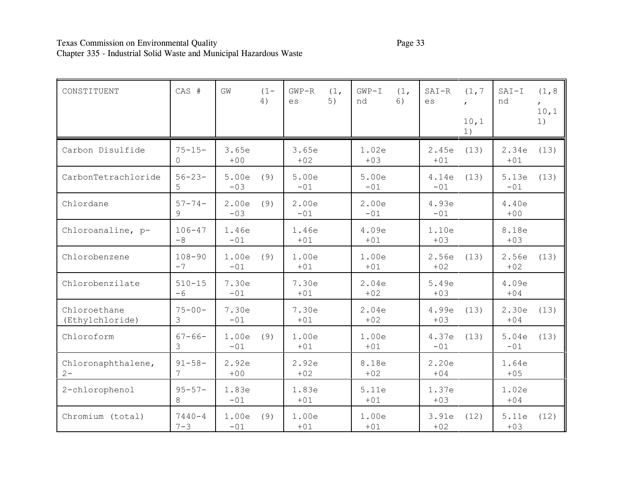# Texas Commission on Environmental Quality Page 33 Chapter 335 - Industrial Solid Waste and Municipal Hazardous Waste

| CONSTITUENT                     | CAS #                 | GW             | $(1 -$<br>4) | $GWP-R$<br>$\mathop{\rm es}\nolimits$ | (1,<br>5) | $GWP-I$<br>nd  | (1,<br>6) | $SAT-R$<br>$\mathop{\rm es}\nolimits$ | (1, 7)<br>10,1<br>1) | $SAT-I$<br>nd  | (1, 8)<br>$\mathbf{r}$<br>10,1<br>1) |
|---------------------------------|-----------------------|----------------|--------------|---------------------------------------|-----------|----------------|-----------|---------------------------------------|----------------------|----------------|--------------------------------------|
| Carbon Disulfide                | $75 - 15 -$<br>$\cap$ | 3.65e<br>$+00$ |              | 3.65e<br>$+02$                        |           | 1.02e<br>$+03$ |           | 2.45e<br>$+01$                        | (13)                 | 2.34e<br>$+01$ | (13)                                 |
| CarbonTetrachloride             | $56 - 23 -$<br>5      | 5.00e<br>$-03$ | (9)          | 5.00e<br>$-01$                        |           | 5.00e<br>$-01$ |           | 4.14e<br>$-01$                        | (13)                 | 5.13e<br>$-01$ | (13)                                 |
| Chlordane                       | $57 - 74 -$<br>9      | 2.00e<br>$-03$ | (9)          | 2.00e<br>$-01$                        |           | 2.00e<br>$-01$ |           | 4.93e<br>$-01$                        |                      | 4.40e<br>$+00$ |                                      |
| Chloroanaline, p-               | $106 - 47$<br>$-8$    | 1.46e<br>$-01$ |              | 1.46e<br>$+01$                        |           | 4.09e<br>$+01$ |           | 1.10e<br>$+03$                        |                      | 8.18e<br>$+03$ |                                      |
| Chlorobenzene                   | $108 - 90$<br>$-7$    | 1.00e<br>$-01$ | (9)          | 1.00e<br>$+01$                        |           | 1.00e<br>$+01$ |           | 2.56e<br>$+02$                        | (13)                 | 2.56e<br>$+02$ | (13)                                 |
| Chlorobenzilate                 | $510 - 15$<br>$-6$    | 7.30e<br>$-01$ |              | 7.30e<br>$+01$                        |           | 2.04e<br>$+02$ |           | 5.49e<br>$+03$                        |                      | 4.09e<br>$+04$ |                                      |
| Chloroethane<br>(Ethylchloride) | $75 - 00 -$<br>3      | 7.30e<br>$-01$ |              | 7.30e<br>$+01$                        |           | 2.04e<br>$+02$ |           | 4.99e<br>$+03$                        | (13)                 | 2.30e<br>$+04$ | (13)                                 |
| Chloroform                      | $67 - 66 -$<br>3      | 1.00e<br>$-01$ | (9)          | 1.00e<br>$+01$                        |           | 1.00e<br>$+01$ |           | 4.37e<br>$-01$                        | (13)                 | 5.04e<br>$-01$ | (13)                                 |
| Chloronaphthalene,<br>$2 -$     | $91 - 58 -$           | 2.92e<br>$+00$ |              | 2.92e<br>$+02$                        |           | 8.18e<br>$+02$ |           | 2.20e<br>$+04$                        |                      | 1.64e<br>$+05$ |                                      |
| 2-chlorophenol                  | $95 - 57 -$<br>8      | 1.83e<br>$-01$ |              | 1.83e<br>$+01$                        |           | 5.11e<br>$+01$ |           | 1.37e<br>$+03$                        |                      | 1.02e<br>$+04$ |                                      |
| Chromium (total)                | $7440 - 4$<br>$7 - 3$ | 1.00e<br>$-01$ | (9)          | 1.00e<br>$+01$                        |           | 1.00e<br>$+01$ |           | 3.91e<br>$+02$                        | (12)                 | 5.11e<br>$+03$ | (12)                                 |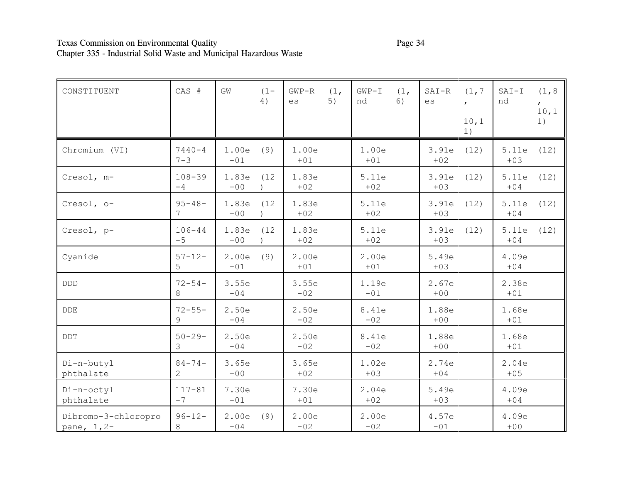# Texas Commission on Environmental Quality Page 34 Chapter 335 - Industrial Solid Waste and Municipal Hazardous Waste

| CONSTITUENT                        | CAS #                         | GW             | $(1 -$<br>4) | $GWP-R$<br>es  | (1,<br>5) | $GWP-I$<br>nd  | (1,<br>6) | $SAT-R$<br>es  | (1, 7)<br>10,1<br>1) | $SAT-I$<br>nd  | (1, 8)<br>10,1<br>1) |
|------------------------------------|-------------------------------|----------------|--------------|----------------|-----------|----------------|-----------|----------------|----------------------|----------------|----------------------|
| Chromium (VI)                      | $7440 - 4$<br>$7 - 3$         | 1.00e<br>$-01$ | (9)          | 1.00e<br>$+01$ |           | 1.00e<br>$+01$ |           | 3.91e<br>$+02$ | (12)                 | 5.11e<br>$+03$ | (12)                 |
| Cresol, m-                         | $108 - 39$<br>$-4$            | 1.83e<br>$+00$ | (12)         | 1.83e<br>$+02$ |           | 5.11e<br>$+02$ |           | 3.91e<br>$+03$ | (12)                 | 5.11e<br>$+04$ | (12)                 |
| Cresol, o-                         | $95 - 48 -$<br>7              | 1.83e<br>$+00$ | (12)         | 1.83e<br>$+02$ |           | 5.11e<br>$+02$ |           | 3.91e<br>$+03$ | (12)                 | 5.11e<br>$+04$ | (12)                 |
| Cresol, p-                         | $106 - 44$<br>$-5$            | 1.83e<br>$+00$ | (12)         | 1.83e<br>$+02$ |           | 5.11e<br>$+02$ |           | 3.91e<br>$+03$ | (12)                 | 5.11e<br>$+04$ | (12)                 |
| Cyanide                            | $57 - 12 -$<br>5              | 2.00e<br>$-01$ | (9)          | 2.00e<br>$+01$ |           | 2.00e<br>$+01$ |           | 5.49e<br>$+03$ |                      | 4.09e<br>$+04$ |                      |
| <b>DDD</b>                         | $72 - 54 -$<br>8              | 3.55e<br>$-04$ |              | 3.55e<br>$-02$ |           | 1.19e<br>$-01$ |           | 2.67e<br>$+00$ |                      | 2.38e<br>$+01$ |                      |
| DDE                                | $72 - 55 -$<br>9              | 2.50e<br>$-04$ |              | 2.50e<br>$-02$ |           | 8.41e<br>$-02$ |           | 1.88e<br>$+00$ |                      | 1.68e<br>$+01$ |                      |
| DDT                                | $50 - 29 -$<br>3              | 2.50e<br>$-04$ |              | 2.50e<br>$-02$ |           | 8.41e<br>$-02$ |           | 1.88e<br>$+00$ |                      | 1.68e<br>$+01$ |                      |
| Di-n-butyl<br>phthalate            | $84 - 74 -$<br>$\overline{2}$ | 3.65e<br>$+00$ |              | 3.65e<br>$+02$ |           | 1.02e<br>$+03$ |           | 2.74e<br>$+04$ |                      | 2.04e<br>$+05$ |                      |
| Di-n-octyl<br>phthalate            | $117 - 81$<br>$-7$            | 7.30e<br>$-01$ |              | 7.30e<br>$+01$ |           | 2.04e<br>$+02$ |           | 5.49e<br>$+03$ |                      | 4.09e<br>$+04$ |                      |
| Dibromo-3-chloropro<br>pane, 1, 2- | $96 - 12 -$<br>8              | 2.00e<br>$-04$ | (9)          | 2.00e<br>$-02$ |           | 2.00e<br>$-02$ |           | 4.57e<br>$-01$ |                      | 4.09e<br>$+00$ |                      |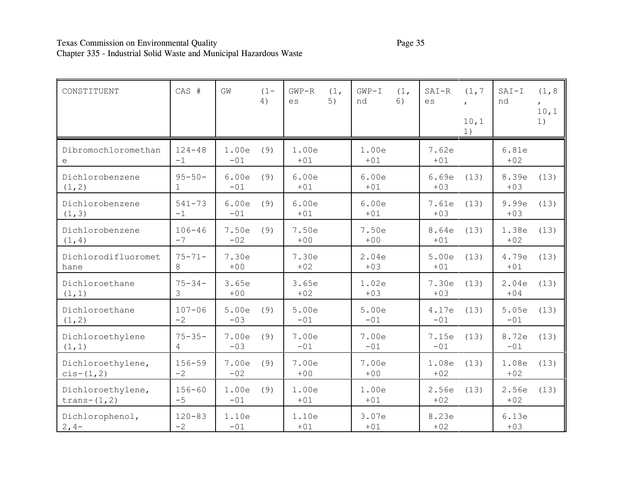# Texas Commission on Environmental Quality Page 35 Chapter 335 - Industrial Solid Waste and Municipal Hazardous Waste

| CONSTITUENT                          | CAS #              | GW             | $(1 -$<br>4) | $GWP-R$<br>es  | (1,<br>5) | $GWP-T$<br>nd  | (1,<br>6) | $SAT-R$<br>es  | (1, 7)<br>10,1<br>1) | $SAT-I$<br>nd  | (1, 8)<br>10,1<br>1) |
|--------------------------------------|--------------------|----------------|--------------|----------------|-----------|----------------|-----------|----------------|----------------------|----------------|----------------------|
| Dibromochloromethan<br>e             | $124 - 48$<br>$-1$ | 1.00e<br>$-01$ | (9)          | 1.00e<br>$+01$ |           | 1.00e<br>$+01$ |           | 7.62e<br>$+01$ |                      | 6.81e<br>$+02$ |                      |
| Dichlorobenzene<br>(1, 2)            | $95 - 50 -$<br>1   | 6.00e<br>$-01$ | (9)          | 6.00e<br>$+01$ |           | 6.00e<br>$+01$ |           | 6.69e<br>$+03$ | (13)                 | 8.39e<br>$+03$ | (13)                 |
| Dichlorobenzene<br>(1, 3)            | $541 - 73$<br>$-1$ | 6.00e<br>$-01$ | (9)          | 6.00e<br>$+01$ |           | 6.00e<br>$+01$ |           | 7.61e<br>$+03$ | (13)                 | 9.99e<br>$+03$ | (13)                 |
| Dichlorobenzene<br>(1, 4)            | $106 - 46$<br>$-7$ | 7.50e<br>$-02$ | (9)          | 7.50e<br>$+00$ |           | 7.50e<br>$+00$ |           | 8.64e<br>$+01$ | (13)                 | 1.38e<br>$+02$ | (13)                 |
| Dichlorodifluoromet<br>hane          | $75 - 71 -$<br>8   | 7.30e<br>$+00$ |              | 7.30e<br>$+02$ |           | 2.04e<br>$+03$ |           | 5.00e<br>$+01$ | (13)                 | 4.79e<br>$+01$ | (13)                 |
| Dichloroethane<br>(1, 1)             | $75 - 34 -$<br>3   | 3.65e<br>$+00$ |              | 3.65e<br>$+02$ |           | 1.02e<br>$+03$ |           | 7.30e<br>$+03$ | (13)                 | 2.04e<br>$+04$ | (13)                 |
| Dichloroethane<br>(1, 2)             | $107 - 06$<br>$-2$ | 5.00e<br>$-03$ | (9)          | 5.00e<br>$-01$ |           | 5.00e<br>$-01$ |           | 4.17e<br>$-01$ | (13)                 | 5.05e<br>$-01$ | (13)                 |
| Dichloroethylene<br>(1, 1)           | $75 - 35 -$<br>4   | 7.00e<br>$-03$ | (9)          | 7.00e<br>$-01$ |           | 7.00e<br>$-01$ |           | 7.15e<br>$-01$ | (13)                 | 8.72e<br>$-01$ | (13)                 |
| Dichloroethylene,<br>$cis-(1,2)$     | $156 - 59$<br>$-2$ | 7.00e<br>$-02$ | (9)          | 7.00e<br>$+00$ |           | 7.00e<br>$+00$ |           | 1.08e<br>$+02$ | (13)                 | 1.08e<br>$+02$ | (13)                 |
| Dichloroethylene,<br>trans- $(1, 2)$ | $156 - 60$<br>$-5$ | 1.00e<br>$-01$ | (9)          | 1.00e<br>$+01$ |           | 1.00e<br>$+01$ |           | 2.56e<br>$+02$ | (13)                 | 2.56e<br>$+02$ | (13)                 |
| Dichlorophenol,<br>$2, 4-$           | $120 - 83$<br>$-2$ | 1.10e<br>$-01$ |              | 1.10e<br>$+01$ |           | 3.07e<br>$+01$ |           | 8.23e<br>$+02$ |                      | 6.13e<br>$+03$ |                      |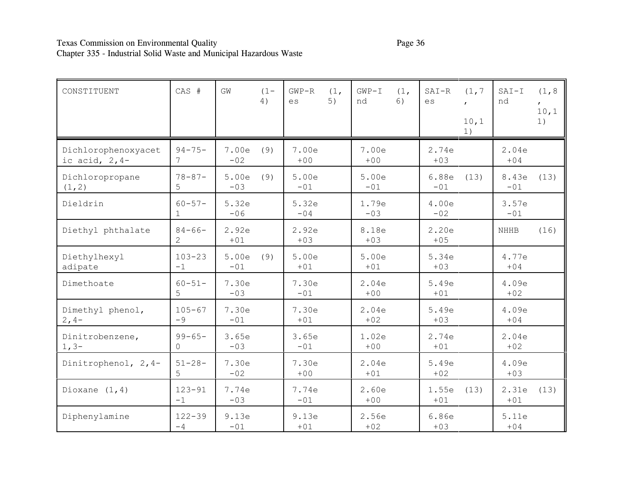# Texas Commission on Environmental Quality **Page 36** Page 36 Chapter 335 - Industrial Solid Waste and Municipal Hazardous Waste

| CONSTITUENT                             | CAS #                       | GW             | $(1 -$<br>4) | $GWP-R$<br>es  | (1,<br>5) | $GWP-T$<br>nd  | (1,<br>6) | $SAT-R$<br>es  | (1, 7)<br>10,1<br>1) | $SAT-I$<br>nd  | (1, 8)<br>10,1<br>1) |
|-----------------------------------------|-----------------------------|----------------|--------------|----------------|-----------|----------------|-----------|----------------|----------------------|----------------|----------------------|
| Dichlorophenoxyacet<br>ic acid, $2, 4-$ | $94 - 75 -$<br>7            | 7.00e<br>$-02$ | (9)          | 7.00e<br>$+00$ |           | 7.00e<br>$+00$ |           | 2.74e<br>$+03$ |                      | 2.04e<br>$+04$ |                      |
| Dichloropropane<br>(1, 2)               | $78 - 87 -$<br>5            | 5.00e<br>$-03$ | (9)          | 5.00e<br>$-01$ |           | 5.00e<br>$-01$ |           | 6.88e<br>$-01$ | (13)                 | 8.43e<br>$-01$ | (13)                 |
| Dieldrin                                | $60 - 57 -$<br>$\mathbf{1}$ | 5.32e<br>$-06$ |              | 5.32e<br>$-04$ |           | 1.79e<br>$-03$ |           | 4.00e<br>$-02$ |                      | 3.57e<br>$-01$ |                      |
| Diethyl phthalate                       | $84 - 66 -$<br>2            | 2.92e<br>$+01$ |              | 2.92e<br>$+03$ |           | 8.18e<br>$+03$ |           | 2.20e<br>$+05$ |                      | <b>NHHB</b>    | (16)                 |
| Diethylhexyl<br>adipate                 | $103 - 23$<br>$-1$          | 5.00e<br>$-01$ | (9)          | 5.00e<br>$+01$ |           | 5.00e<br>$+01$ |           | 5.34e<br>$+03$ |                      | 4.77e<br>$+04$ |                      |
| Dimethoate                              | $60 - 51 -$<br>5            | 7.30e<br>$-03$ |              | 7.30e<br>$-01$ |           | 2.04e<br>$+00$ |           | 5.49e<br>$+01$ |                      | 4.09e<br>$+02$ |                      |
| Dimethyl phenol,<br>$2, 4-$             | $105 - 67$<br>$-9$          | 7.30e<br>$-01$ |              | 7.30e<br>$+01$ |           | 2.04e<br>$+02$ |           | 5.49e<br>$+03$ |                      | 4.09e<br>$+04$ |                      |
| Dinitrobenzene,<br>$1, 3-$              | $99 - 65 -$<br>$\Omega$     | 3.65e<br>$-03$ |              | 3.65e<br>$-01$ |           | 1.02e<br>$+00$ |           | 2.74e<br>$+01$ |                      | 2.04e<br>$+02$ |                      |
| Dinitrophenol, 2,4-                     | $51 - 28 -$<br>5            | 7.30e<br>$-02$ |              | 7.30e<br>$+00$ |           | 2.04e<br>$+01$ |           | 5.49e<br>$+02$ |                      | 4.09e<br>$+03$ |                      |
| Dioxane $(1, 4)$                        | $123 - 91$<br>$-1$          | 7.74e<br>$-03$ |              | 7.74e<br>$-01$ |           | 2.60e<br>$+00$ |           | 1.55e<br>$+01$ | (13)                 | 2.31e<br>$+01$ | (13)                 |
| Diphenylamine                           | $122 - 39$<br>$-4$          | 9.13e<br>$-01$ |              | 9.13e<br>$+01$ |           | 2.56e<br>$+02$ |           | 6.86e<br>$+03$ |                      | 5.11e<br>$+04$ |                      |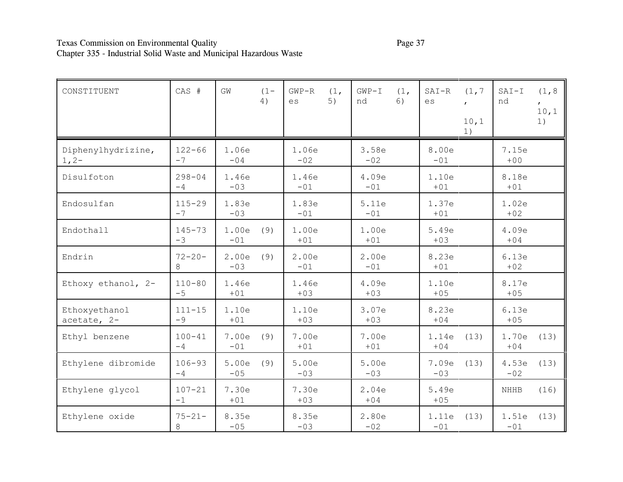# Texas Commission on Environmental Quality **Page 37** Page 37 Chapter 335 - Industrial Solid Waste and Municipal Hazardous Waste

| CONSTITUENT                   | CAS #              | GW             | $(1 -$<br>4) | $GWP-R$<br>es  | (1,<br>5) | $GWP-I$<br>nd  | (1,<br>6) | $SAT-R$<br>es  | (1, 7)<br>10,1<br>1) | $SAT-I$<br>nd  | (1, 8)<br>$\mathbf{r}$<br>10,1<br>1) |
|-------------------------------|--------------------|----------------|--------------|----------------|-----------|----------------|-----------|----------------|----------------------|----------------|--------------------------------------|
| Diphenylhydrizine,<br>$1, 2-$ | $122 - 66$<br>$-7$ | 1.06e<br>$-04$ |              | 1.06e<br>$-02$ |           | 3.58e<br>$-02$ |           | 8.00e<br>$-01$ |                      | 7.15e<br>$+00$ |                                      |
| Disulfoton                    | $298 - 04$<br>$-4$ | 1.46e<br>$-03$ |              | 1.46e<br>$-01$ |           | 4.09e<br>$-01$ |           | 1.10e<br>$+01$ |                      | 8.18e<br>$+01$ |                                      |
| Endosulfan                    | $115 - 29$<br>$-7$ | 1.83e<br>$-03$ |              | 1.83e<br>$-01$ |           | 5.11e<br>$-01$ |           | 1.37e<br>$+01$ |                      | 1.02e<br>$+02$ |                                      |
| Endothall                     | $145 - 73$<br>$-3$ | 1.00e<br>$-01$ | (9)          | 1.00e<br>$+01$ |           | 1.00e<br>$+01$ |           | 5.49e<br>$+03$ |                      | 4.09e<br>$+04$ |                                      |
| Endrin                        | $72 - 20 -$<br>8   | 2.00e<br>$-03$ | (9)          | 2.00e<br>$-01$ |           | 2.00e<br>$-01$ |           | 8.23e<br>$+01$ |                      | 6.13e<br>$+02$ |                                      |
| Ethoxy ethanol, 2-            | $110 - 80$<br>$-5$ | 1.46e<br>$+01$ |              | 1.46e<br>$+03$ |           | 4.09e<br>$+03$ |           | 1.10e<br>$+05$ |                      | 8.17e<br>$+05$ |                                      |
| Ethoxyethanol<br>acetate, 2-  | $111 - 15$<br>$-9$ | 1.10e<br>$+01$ |              | 1.10e<br>$+03$ |           | 3.07e<br>$+03$ |           | 8.23e<br>$+04$ |                      | 6.13e<br>$+05$ |                                      |
| Ethyl benzene                 | $100 - 41$<br>$-4$ | 7.00e<br>$-01$ | (9)          | 7.00e<br>$+01$ |           | 7.00e<br>$+01$ |           | 1.14e<br>$+04$ | (13)                 | 1.70e<br>$+04$ | (13)                                 |
| Ethylene dibromide            | $106 - 93$<br>$-4$ | 5.00e<br>$-05$ | (9)          | 5.00e<br>$-03$ |           | 5.00e<br>$-03$ |           | 7.09e<br>$-03$ | (13)                 | 4.53e<br>$-02$ | (13)                                 |
| Ethylene glycol               | $107 - 21$<br>$-1$ | 7.30e<br>$+01$ |              | 7.30e<br>$+03$ |           | 2.04e<br>$+04$ |           | 5.49e<br>$+05$ |                      | NHHB           | (16)                                 |
| Ethylene oxide                | $75 - 21 -$<br>8   | 8.35e<br>$-05$ |              | 8.35e<br>$-03$ |           | 2.80e<br>$-02$ |           | 1.11e<br>$-01$ | (13)                 | 1.51e<br>$-01$ | (13)                                 |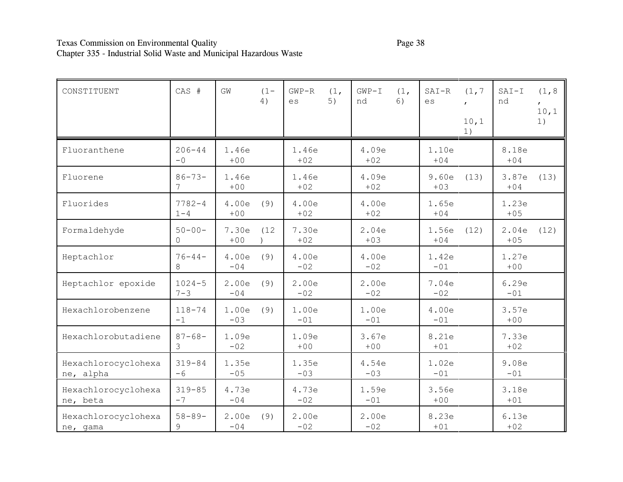# Texas Commission on Environmental Quality Page 38 Chapter 335 - Industrial Solid Waste and Municipal Hazardous Waste

| CONSTITUENT                      | CAS #                   | GW             | $(1 -$<br>4) | $GWP-R$<br>es  | (1,<br>5) | $GWP-T$<br>nd  | (1,<br>6) | $SAT-R$<br>es  | (1, 7)<br>10,1<br>1) | $SAT-I$<br>nd  | (1, 8)<br>10, 1<br>1) |
|----------------------------------|-------------------------|----------------|--------------|----------------|-----------|----------------|-----------|----------------|----------------------|----------------|-----------------------|
| Fluoranthene                     | $206 - 44$<br>$-0$      | 1.46e<br>$+00$ |              | 1.46e<br>$+02$ |           | 4.09e<br>$+02$ |           | 1.10e<br>$+04$ |                      | 8.18e<br>$+04$ |                       |
| Fluorene                         | $86 - 73 -$             | 1.46e<br>$+00$ |              | 1.46e<br>$+02$ |           | 4.09e<br>$+02$ |           | 9.60e<br>$+03$ | (13)                 | 3.87e<br>$+04$ | (13)                  |
| Fluorides                        | $7782 - 4$<br>$1 - 4$   | 4.00e<br>$+00$ | (9)          | 4.00e<br>$+02$ |           | 4.00e<br>$+02$ |           | 1.65e<br>$+04$ |                      | 1.23e<br>$+05$ |                       |
| Formaldehyde                     | $50 - 00 -$<br>$\Omega$ | 7.30e<br>$+00$ | (12)         | 7.30e<br>$+02$ |           | 2.04e<br>$+03$ |           | 1.56e<br>$+04$ | (12)                 | 2.04e<br>$+05$ | (12)                  |
| Heptachlor                       | $76 - 44 -$<br>8        | 4.00e<br>$-04$ | (9)          | 4.00e<br>$-02$ |           | 4.00e<br>$-02$ |           | 1.42e<br>$-01$ |                      | 1.27e<br>$+00$ |                       |
| Heptachlor epoxide               | $1024 - 5$<br>$7 - 3$   | 2.00e<br>$-04$ | (9)          | 2.00e<br>$-02$ |           | 2.00e<br>$-02$ |           | 7.04e<br>$-02$ |                      | 6.29e<br>$-01$ |                       |
| Hexachlorobenzene                | $118 - 74$<br>$-1$      | 1.00e<br>$-03$ | (9)          | 1.00e<br>$-01$ |           | 1.00e<br>$-01$ |           | 4.00e<br>$-01$ |                      | 3.57e<br>$+00$ |                       |
| Hexachlorobutadiene              | $87 - 68 -$<br>3        | 1.09e<br>$-02$ |              | 1.09e<br>$+00$ |           | 3.67e<br>$+00$ |           | 8.21e<br>$+01$ |                      | 7.33e<br>$+02$ |                       |
| Hexachlorocyclohexa<br>ne, alpha | $319 - 84$<br>$-6$      | 1.35e<br>$-05$ |              | 1.35e<br>$-03$ |           | 4.54e<br>$-03$ |           | 1.02e<br>$-01$ |                      | 9.08e<br>$-01$ |                       |
| Hexachlorocyclohexa<br>ne, beta  | $319 - 85$<br>$-7$      | 4.73e<br>$-04$ |              | 4.73e<br>$-02$ |           | 1.59e<br>$-01$ |           | 3.56e<br>$+00$ |                      | 3.18e<br>$+01$ |                       |
| Hexachlorocyclohexa<br>ne, gama  | $58 - 89 -$<br>9        | 2.00e<br>$-04$ | (9)          | 2.00e<br>$-02$ |           | 2.00e<br>$-02$ |           | 8.23e<br>$+01$ |                      | 6.13e<br>$+02$ |                       |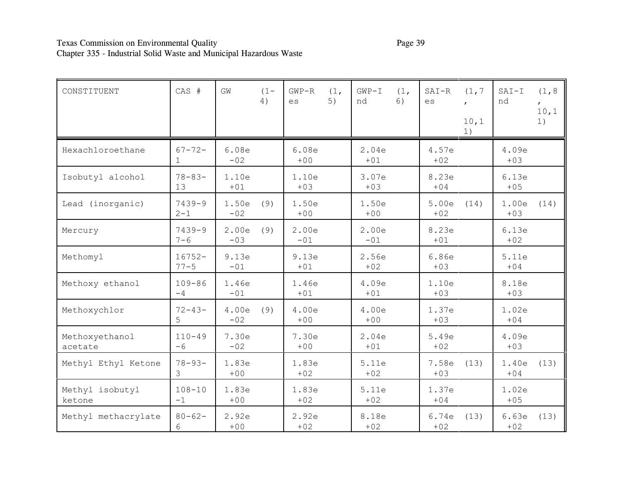# Texas Commission on Environmental Quality Page 39 Chapter 335 - Industrial Solid Waste and Municipal Hazardous Waste

| CONSTITUENT               | CAS #                       | GW             | $(1 -$<br>4) | $GWP-R$<br>es  | (1,<br>5) | $GWP-T$<br>nd  | (1,<br>6) | $SAT-R$<br>es  | (1, 7)<br>10,1<br>1) | $SAT-I$<br>nd  | (1, 8)<br>10, 1<br>1) |
|---------------------------|-----------------------------|----------------|--------------|----------------|-----------|----------------|-----------|----------------|----------------------|----------------|-----------------------|
| Hexachloroethane          | $67 - 72 -$<br>$\mathbf{1}$ | 6.08e<br>$-02$ |              | 6.08e<br>$+00$ |           | 2.04e<br>$+01$ |           | 4.57e<br>$+02$ |                      | 4.09e<br>$+03$ |                       |
| Isobutyl alcohol          | $78 - 83 -$<br>13           | 1.10e<br>$+01$ |              | 1.10e<br>$+03$ |           | 3.07e<br>$+03$ |           | 8.23e<br>$+04$ |                      | 6.13e<br>$+05$ |                       |
| Lead (inorganic)          | $7439 - 9$<br>$2 - 1$       | 1.50e<br>$-02$ | (9)          | 1.50e<br>$+00$ |           | 1.50e<br>$+00$ |           | 5.00e<br>$+02$ | (14)                 | 1.00e<br>$+03$ | (14)                  |
| Mercury                   | $7439 - 9$<br>$7 - 6$       | 2.00e<br>$-03$ | (9)          | 2.00e<br>$-01$ |           | 2.00e<br>$-01$ |           | 8.23e<br>$+01$ |                      | 6.13e<br>$+02$ |                       |
| Methomyl                  | $16752 -$<br>$77 - 5$       | 9.13e<br>$-01$ |              | 9.13e<br>$+01$ |           | 2.56e<br>$+02$ |           | 6.86e<br>$+03$ |                      | 5.11e<br>$+04$ |                       |
| Methoxy ethanol           | $109 - 86$<br>$-4$          | 1.46e<br>$-01$ |              | 1.46e<br>$+01$ |           | 4.09e<br>$+01$ |           | 1.10e<br>$+03$ |                      | 8.18e<br>$+03$ |                       |
| Methoxychlor              | $72 - 43 -$<br>5            | 4.00e<br>$-02$ | (9)          | 4.00e<br>$+00$ |           | 4.00e<br>$+00$ |           | 1.37e<br>$+03$ |                      | 1.02e<br>$+04$ |                       |
| Methoxyethanol<br>acetate | $110 - 49$<br>$-6$          | 7.30e<br>$-02$ |              | 7.30e<br>$+00$ |           | 2.04e<br>$+01$ |           | 5.49e<br>$+02$ |                      | 4.09e<br>$+03$ |                       |
| Methyl Ethyl Ketone       | $78 - 93 -$<br>3            | 1.83e<br>$+00$ |              | 1.83e<br>$+02$ |           | 5.11e<br>$+02$ |           | 7.58e<br>$+03$ | (13)                 | 1.40e<br>$+04$ | (13)                  |
| Methyl isobutyl<br>ketone | $108 - 10$<br>$-1$          | 1.83e<br>$+00$ |              | 1.83e<br>$+02$ |           | 5.11e<br>$+02$ |           | 1.37e<br>$+04$ |                      | 1.02e<br>$+05$ |                       |
| Methyl methacrylate       | $80 - 62 -$<br>6            | 2.92e<br>$+00$ |              | 2.92e<br>$+02$ |           | 8.18e<br>$+02$ |           | 6.74e<br>$+02$ | (13)                 | 6.63e<br>$+02$ | (13)                  |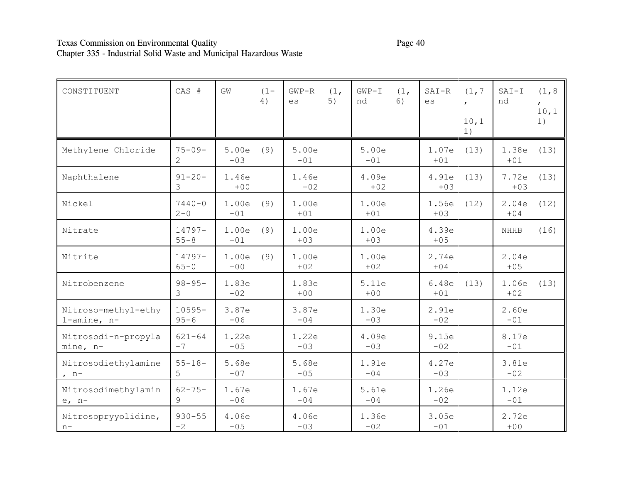# Texas Commission on Environmental Quality Page 40 Chapter 335 - Industrial Solid Waste and Municipal Hazardous Waste

| CONSTITUENT                        | CAS #                        | GW             | $(1 -$<br>4) | $GWP-R$<br>es  | (1,<br>5) | $GWP-I$<br>nd  | (1,<br>6) | $SAT-R$<br>es  | (1, 7)<br>10,1<br>1) | $SAT-I$<br>nd  | (1, 8)<br>10,1<br>1) |
|------------------------------------|------------------------------|----------------|--------------|----------------|-----------|----------------|-----------|----------------|----------------------|----------------|----------------------|
| Methylene Chloride                 | $75 - 09 -$<br>$\mathcal{L}$ | 5.00e<br>$-03$ | (9)          | 5.00e<br>$-01$ |           | 5.00e<br>$-01$ |           | 1.07e<br>$+01$ | (13)                 | 1.38e<br>$+01$ | (13)                 |
| Naphthalene                        | $91 - 20 -$<br>3             | 1.46e<br>$+00$ |              | 1.46e<br>$+02$ |           | 4.09e<br>$+02$ |           | 4.91e<br>$+03$ | (13)                 | 7.72e<br>$+03$ | (13)                 |
| Nickel                             | $7440 - 0$<br>$2 - 0$        | 1.00e<br>$-01$ | (9)          | 1.00e<br>$+01$ |           | 1.00e<br>$+01$ |           | 1.56e<br>$+03$ | (12)                 | 2.04e<br>$+04$ | (12)                 |
| Nitrate                            | $14797 -$<br>$55 - 8$        | 1.00e<br>$+01$ | (9)          | 1.00e<br>$+03$ |           | 1.00e<br>$+03$ |           | 4.39e<br>$+05$ |                      | <b>NHHB</b>    | (16)                 |
| Nitrite                            | 14797-<br>$65 - 0$           | 1.00e<br>$+00$ | (9)          | 1.00e<br>$+02$ |           | 1.00e<br>$+02$ |           | 2.74e<br>$+04$ |                      | 2.04e<br>$+05$ |                      |
| Nitrobenzene                       | $98 - 95 -$<br>3             | 1.83e<br>$-02$ |              | 1.83e<br>$+00$ |           | 5.11e<br>$+00$ |           | 6.48e<br>$+01$ | (13)                 | 1.06e<br>$+02$ | (13)                 |
| Nitroso-methyl-ethy<br>l-amine, n- | $10595 -$<br>$95 - 6$        | 3.87e<br>$-06$ |              | 3.87e<br>$-04$ |           | 1.30e<br>$-03$ |           | 2.91e<br>$-02$ |                      | 2.60e<br>$-01$ |                      |
| Nitrosodi-n-propyla<br>mine, n-    | $621 - 64$<br>$-7$           | 1.22e<br>$-05$ |              | 1.22e<br>$-03$ |           | 4.09e<br>$-03$ |           | 9.15e<br>$-02$ |                      | 8.17e<br>$-01$ |                      |
| Nitrosodiethylamine<br>$, n-$      | $55 - 18 -$<br>5             | 5.68e<br>$-07$ |              | 5.68e<br>$-05$ |           | 1.91e<br>$-04$ |           | 4.27e<br>$-03$ |                      | 3.81e<br>$-02$ |                      |
| Nitrosodimethylamin<br>$e, n-$     | $62 - 75 -$<br>9             | 1.67e<br>$-06$ |              | 1.67e<br>$-04$ |           | 5.61e<br>$-04$ |           | 1.26e<br>$-02$ |                      | 1.12e<br>$-01$ |                      |
| Nitrosopryyolidine,<br>$n -$       | $930 - 55$<br>$-2$           | 4.06e<br>$-05$ |              | 4.06e<br>$-03$ |           | 1.36e<br>$-02$ |           | 3.05e<br>$-01$ |                      | 2.72e<br>$+00$ |                      |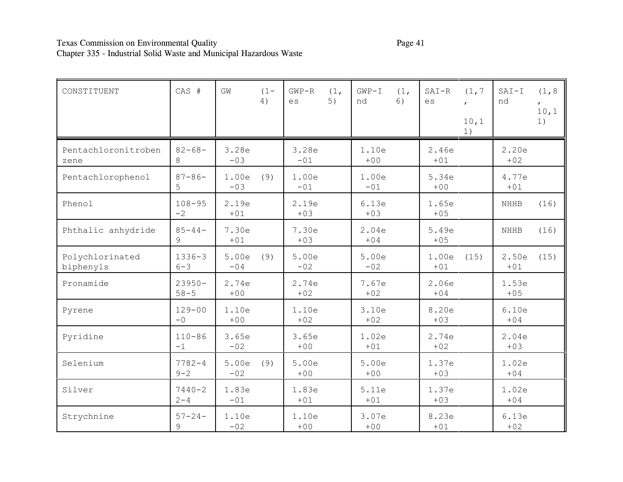# Texas Commission on Environmental Quality Page 41 Chapter 335 - Industrial Solid Waste and Municipal Hazardous Waste

| CONSTITUENT                  | CAS #                 | GW             | $(1 -$<br>4) | $GWP-R$<br>es  | (1,<br>5) | $GWP-T$<br>nd  | (1,<br>6) | $SAT-R$<br>es  | (1, 7)<br>10,1<br>1) | $SAT-I$<br>nd  | (1, 8)<br>10,1<br>1) |
|------------------------------|-----------------------|----------------|--------------|----------------|-----------|----------------|-----------|----------------|----------------------|----------------|----------------------|
| Pentachloronitroben<br>zene  | $82 - 68 -$<br>8      | 3.28e<br>$-03$ |              | 3.28e<br>$-01$ |           | 1.10e<br>$+00$ |           | 2.46e<br>$+01$ |                      | 2.20e<br>$+02$ |                      |
| Pentachlorophenol            | $87 - 86 -$<br>5      | 1.00e<br>$-03$ | (9)          | 1.00e<br>$-01$ |           | 1.00e<br>$-01$ |           | 5.34e<br>$+00$ |                      | 4.77e<br>$+01$ |                      |
| Phenol                       | $108 - 95$<br>$-2$    | 2.19e<br>$+01$ |              | 2.19e<br>$+03$ |           | 6.13e<br>$+03$ |           | 1.65e<br>$+05$ |                      | <b>NHHB</b>    | (16)                 |
| Phthalic anhydride           | $85 - 44 -$<br>9      | 7.30e<br>$+01$ |              | 7.30e<br>$+03$ |           | 2.04e<br>$+04$ |           | 5.49e<br>$+05$ |                      | <b>NHHB</b>    | (16)                 |
| Polychlorinated<br>biphenyls | $1336 - 3$<br>$6 - 3$ | 5.00e<br>$-04$ | (9)          | 5.00e<br>$-02$ |           | 5.00e<br>$-02$ |           | 1.00e<br>$+01$ | (15)                 | 2.50e<br>$+01$ | (15)                 |
| Pronamide                    | $23950 -$<br>$58 - 5$ | 2.74e<br>$+00$ |              | 2.74e<br>$+02$ |           | 7.67e<br>$+02$ |           | 2.06e<br>$+04$ |                      | 1.53e<br>$+05$ |                      |
| Pyrene                       | $129 - 00$<br>$-0$    | 1.10e<br>$+00$ |              | 1.10e<br>$+02$ |           | 3.10e<br>$+02$ |           | 8.20e<br>$+03$ |                      | 6.10e<br>$+04$ |                      |
| Pyridine                     | $110 - 86$<br>$-1$    | 3.65e<br>$-02$ |              | 3.65e<br>$+00$ |           | 1.02e<br>$+01$ |           | 2.74e<br>$+02$ |                      | 2.04e<br>$+03$ |                      |
| Selenium                     | $7782 - 4$<br>$9 - 2$ | 5.00e<br>$-02$ | (9)          | 5.00e<br>$+00$ |           | 5.00e<br>$+00$ |           | 1.37e<br>$+03$ |                      | 1.02e<br>$+04$ |                      |
| Silver                       | $7440 - 2$<br>$2 - 4$ | 1.83e<br>$-01$ |              | 1.83e<br>$+01$ |           | 5.11e<br>$+01$ |           | 1.37e<br>$+03$ |                      | 1.02e<br>$+04$ |                      |
| Strychnine                   | $57 - 24 -$<br>9      | 1.10e<br>$-02$ |              | 1.10e<br>$+00$ |           | 3.07e<br>$+00$ |           | 8.23e<br>$+01$ |                      | 6.13e<br>$+02$ |                      |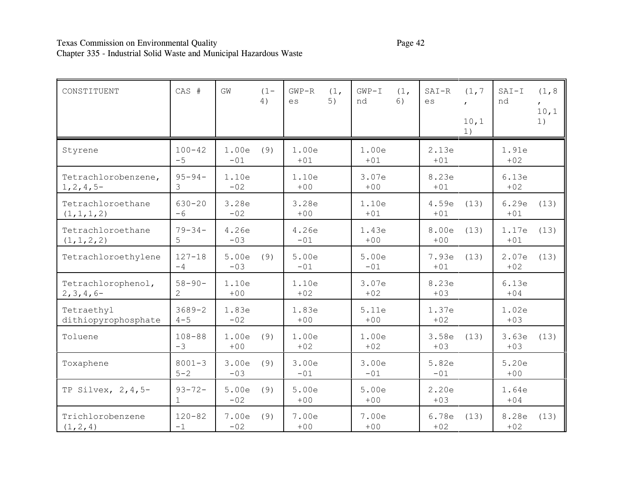# Texas Commission on Environmental Quality Page 42 Chapter 335 - Industrial Solid Waste and Municipal Hazardous Waste

| CONSTITUENT                          | CAS #                         | GW             | $(1 -$<br>4) | $GWP-R$<br>es  | (1,<br>5) | $GWP-I$<br>nd  | (1,<br>6) | $SAT-R$<br>es  | (1, 7)<br>10,1<br>1) | $SAT-I$<br>nd  | (1, 8)<br>10, 1<br>1) |
|--------------------------------------|-------------------------------|----------------|--------------|----------------|-----------|----------------|-----------|----------------|----------------------|----------------|-----------------------|
| Styrene                              | $100 - 42$<br>$-5$            | 1.00e<br>$-01$ | (9)          | 1.00e<br>$+01$ |           | 1.00e<br>$+01$ |           | 2.13e<br>$+01$ |                      | 1.91e<br>$+02$ |                       |
| Tetrachlorobenzene,<br>$1, 2, 4, 5-$ | $95 - 94 -$<br>3              | 1.10e<br>$-02$ |              | 1.10e<br>$+00$ |           | 3.07e<br>$+00$ |           | 8.23e<br>$+01$ |                      | 6.13e<br>$+02$ |                       |
| Tetrachloroethane<br>(1, 1, 1, 2)    | $630 - 20$<br>$-6$            | 3.28e<br>$-02$ |              | 3.28e<br>$+00$ |           | 1.10e<br>$+01$ |           | 4.59e<br>$+01$ | (13)                 | 6.29e<br>$+01$ | (13)                  |
| Tetrachloroethane<br>(1, 1, 2, 2)    | $79 - 34 -$<br>5              | 4.26e<br>$-03$ |              | 4.26e<br>$-01$ |           | 1.43e<br>$+00$ |           | 8.00e<br>$+00$ | (13)                 | 1.17e<br>$+01$ | (13)                  |
| Tetrachloroethylene                  | $127 - 18$<br>$-4$            | 5.00e<br>$-03$ | (9)          | 5.00e<br>$-01$ |           | 5.00e<br>$-01$ |           | 7.93e<br>$+01$ | (13)                 | 2.07e<br>$+02$ | (13)                  |
| Tetrachlorophenol,<br>$2, 3, 4, 6-$  | $58 - 90 -$<br>$\overline{2}$ | 1.10e<br>$+00$ |              | 1.10e<br>$+02$ |           | 3.07e<br>$+02$ |           | 8.23e<br>$+03$ |                      | 6.13e<br>$+04$ |                       |
| Tetraethyl<br>dithiopyrophosphate    | $3689 - 2$<br>$4 - 5$         | 1.83e<br>$-02$ |              | 1.83e<br>$+00$ |           | 5.11e<br>$+00$ |           | 1.37e<br>$+02$ |                      | 1.02e<br>$+03$ |                       |
| Toluene                              | $108 - 88$<br>$-3$            | 1.00e<br>$+00$ | (9)          | 1.00e<br>$+02$ |           | 1.00e<br>$+02$ |           | 3.58e<br>$+03$ | (13)                 | 3.63e<br>$+03$ | (13)                  |
| Toxaphene                            | $8001 - 3$<br>$5 - 2$         | 3.00e<br>$-03$ | (9)          | 3.00e<br>$-01$ |           | 3.00e<br>$-01$ |           | 5.82e<br>$-01$ |                      | 5.20e<br>$+00$ |                       |
| TP Silvex, $2, 4, 5$ -               | $93 - 72 -$<br>$\mathbf{1}$   | 5.00e<br>$-02$ | (9)          | 5.00e<br>$+00$ |           | 5.00e<br>$+00$ |           | 2.20e<br>$+03$ |                      | 1.64e<br>$+04$ |                       |
| Trichlorobenzene<br>(1, 2, 4)        | $120 - 82$<br>$-1$            | 7.00e<br>$-02$ | (9)          | 7.00e<br>$+00$ |           | 7.00e<br>$+00$ |           | 6.78e<br>$+02$ | (13)                 | 8.28e<br>$+02$ | (13)                  |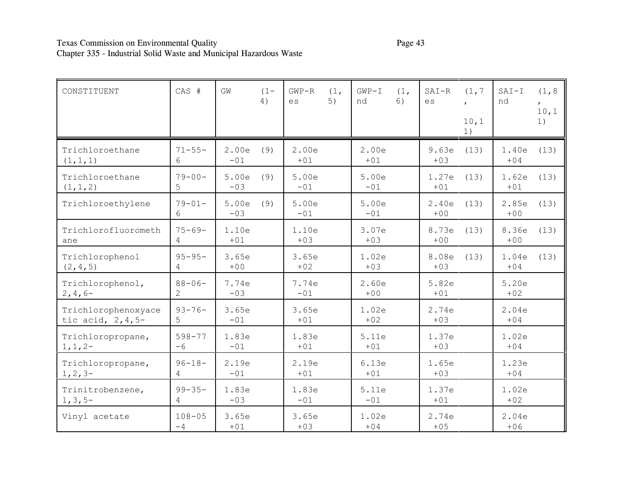# Texas Commission on Environmental Quality Page 43 Chapter 335 - Industrial Solid Waste and Municipal Hazardous Waste

| CONSTITUENT                                 | CAS #                         | GW             | $(1 -$<br>4) | $GWP-R$<br>$\mathop{\rm es}\nolimits$ | (1,<br>5) | $GWP-I$<br>nd  | (1,<br>6) | $SAT-R$<br>es  | (1, 7)<br>10,1<br>1) | $SAT-I$<br>nd  | (1, 8)<br>10, 1<br>1) |
|---------------------------------------------|-------------------------------|----------------|--------------|---------------------------------------|-----------|----------------|-----------|----------------|----------------------|----------------|-----------------------|
| Trichloroethane<br>(1, 1, 1)                | $71 - 55 -$<br>6              | 2.00e<br>$-01$ | (9)          | 2.00e<br>$+01$                        |           | 2.00e<br>$+01$ |           | 9.63e<br>$+03$ | (13)                 | 1.40e<br>$+04$ | (13)                  |
| Trichloroethane<br>(1, 1, 2)                | $79 - 00 -$<br>5              | 5.00e<br>$-03$ | (9)          | 5.00e<br>$-01$                        |           | 5.00e<br>$-01$ |           | 1.27e<br>$+01$ | (13)                 | 1.62e<br>$+01$ | (13)                  |
| Trichloroethylene                           | $79 - 01 -$<br>6              | 5.00e<br>$-03$ | (9)          | 5.00e<br>$-01$                        |           | 5.00e<br>$-01$ |           | 2.40e<br>$+00$ | (13)                 | 2.85e<br>$+00$ | (13)                  |
| Trichlorofluorometh<br>ane                  | $75 - 69 -$<br>4              | 1.10e<br>$+01$ |              | 1.10e<br>$+03$                        |           | 3.07e<br>$+03$ |           | 8.73e<br>$+00$ | (13)                 | 8.36e<br>$+00$ | (13)                  |
| Trichlorophenol<br>(2, 4, 5)                | $95 - 95 -$<br>4              | 3.65e<br>$+00$ |              | 3.65e<br>$+02$                        |           | 1.02e<br>$+03$ |           | 8.08e<br>$+03$ | (13)                 | 1.04e<br>$+04$ | (13)                  |
| Trichlorophenol,<br>$2, 4, 6-$              | $88 - 06 -$<br>$\overline{2}$ | 7.74e<br>$-03$ |              | 7.74e<br>$-01$                        |           | 2.60e<br>$+00$ |           | 5.82e<br>$+01$ |                      | 5.20e<br>$+02$ |                       |
| Trichlorophenoxyace<br>tic acid, $2, 4, 5-$ | $93 - 76 -$<br>5              | 3.65e<br>$-01$ |              | 3.65e<br>$+01$                        |           | 1.02e<br>$+02$ |           | 2.74e<br>$+03$ |                      | 2.04e<br>$+04$ |                       |
| Trichloropropane,<br>$1, 1, 2-$             | $598 - 77$<br>$-6$            | 1.83e<br>$-01$ |              | 1.83e<br>$+01$                        |           | 5.11e<br>$+01$ |           | 1.37e<br>$+03$ |                      | 1.02e<br>$+04$ |                       |
| Trichloropropane,<br>$1, 2, 3-$             | $96 - 18 -$<br>4              | 2.19e<br>$-01$ |              | 2.19e<br>$+01$                        |           | 6.13e<br>$+01$ |           | 1.65e<br>$+03$ |                      | 1.23e<br>$+04$ |                       |
| Trinitrobenzene,<br>$1, 3, 5-$              | $99 - 35 -$<br>4              | 1.83e<br>$-03$ |              | 1.83e<br>$-01$                        |           | 5.11e<br>$-01$ |           | 1.37e<br>$+01$ |                      | 1.02e<br>$+02$ |                       |
| Vinyl acetate                               | $108 - 05$<br>$-4$            | 3.65e<br>$+01$ |              | 3.65e<br>$+03$                        |           | 1.02e<br>$+04$ |           | 2.74e<br>$+05$ |                      | 2.04e<br>$+06$ |                       |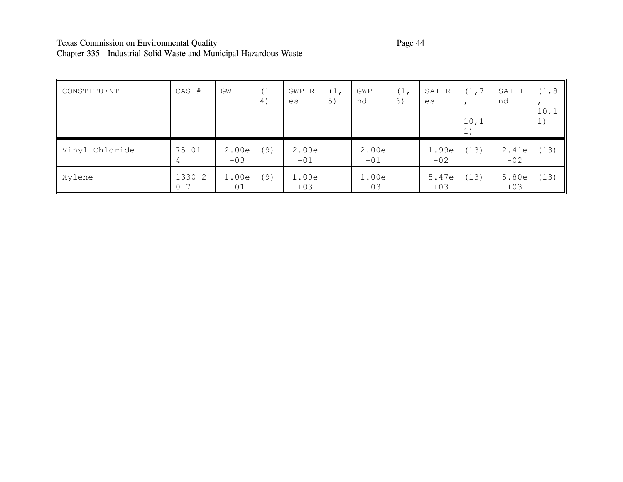# Texas Commission on Environmental Quality Page 44 Chapter 335 - Industrial Solid Waste and Municipal Hazardous Waste

| CONSTITUENT    | CAS #                 | GW             | $(1 -$<br>4) | $GWP-R$<br>es  | (1,<br>5) | $GWP-I$<br>nd  | (1,<br>6) | SAI-R<br>es    | (1, 7)<br>10,1<br>1) | $SAT-I$<br>nd  | (1, 8)<br>10,1<br>1) |
|----------------|-----------------------|----------------|--------------|----------------|-----------|----------------|-----------|----------------|----------------------|----------------|----------------------|
| Vinyl Chloride | $75 - 01 -$<br>4      | 2.00e<br>$-03$ | (9)          | 2.00e<br>$-01$ |           | 2.00e<br>$-01$ |           | 1.99e<br>$-02$ | (13)                 | 2.41e<br>$-02$ | (13)                 |
| Xylene         | $1330 - 2$<br>$0 - 7$ | 1.00e<br>$+01$ | (9)          | 1.00e<br>$+03$ |           | 1.00e<br>$+03$ |           | 5.47e<br>$+03$ | (13)                 | 5.80e<br>$+03$ | (13)                 |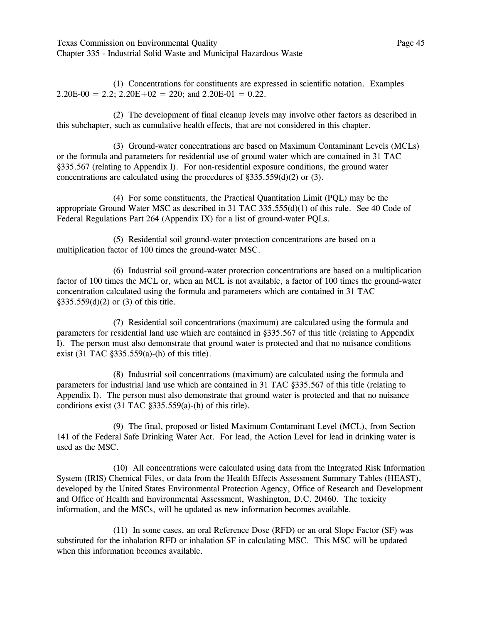Texas Commission on Environmental Quality Page 45 Chapter 335 - Industrial Solid Waste and Municipal Hazardous Waste

(1) Concentrations for constituents are expressed in scientific notation. Examples  $2.20E-00 = 2.2$ ;  $2.20E+02 = 220$ ; and  $2.20E-01 = 0.22$ .

(2) The development of final cleanup levels may involve other factors as described in this subchapter, such as cumulative health effects, that are not considered in this chapter.

(3) Ground-water concentrations are based on Maximum Contaminant Levels (MCLs) or the formula and parameters for residential use of ground water which are contained in 31 TAC ß335.567 (relating to Appendix I). For non-residential exposure conditions, the ground water concentrations are calculated using the procedures of  $\S 335.559(d)(2)$  or (3).

(4) For some constituents, the Practical Quantitation Limit (PQL) may be the appropriate Ground Water MSC as described in 31 TAC 335.555(d)(1) of this rule. See 40 Code of Federal Regulations Part 264 (Appendix IX) for a list of ground-water PQLs.

(5) Residential soil ground-water protection concentrations are based on a multiplication factor of 100 times the ground-water MSC.

(6) Industrial soil ground-water protection concentrations are based on a multiplication factor of 100 times the MCL or, when an MCL is not available, a factor of 100 times the ground-water concentration calculated using the formula and parameters which are contained in 31 TAC  $$335.559(d)(2)$  or (3) of this title.

(7) Residential soil concentrations (maximum) are calculated using the formula and parameters for residential land use which are contained in ß335.567 of this title (relating to Appendix I). The person must also demonstrate that ground water is protected and that no nuisance conditions exist (31 TAC  $\S 335.559(a)$ -(h) of this title).

(8) Industrial soil concentrations (maximum) are calculated using the formula and parameters for industrial land use which are contained in 31 TAC ß335.567 of this title (relating to Appendix I). The person must also demonstrate that ground water is protected and that no nuisance conditions exist  $(31 \text{ TAC }$   $§335.559(a)$ - $(h)$  of this title).

(9) The final, proposed or listed Maximum Contaminant Level (MCL), from Section 141 of the Federal Safe Drinking Water Act. For lead, the Action Level for lead in drinking water is used as the MSC.

(10) All concentrations were calculated using data from the Integrated Risk Information System (IRIS) Chemical Files, or data from the Health Effects Assessment Summary Tables (HEAST), developed by the United States Environmental Protection Agency, Office of Research and Development and Office of Health and Environmental Assessment, Washington, D.C. 20460. The toxicity information, and the MSCs, will be updated as new information becomes available.

(11) In some cases, an oral Reference Dose (RFD) or an oral Slope Factor (SF) was substituted for the inhalation RFD or inhalation SF in calculating MSC. This MSC will be updated when this information becomes available.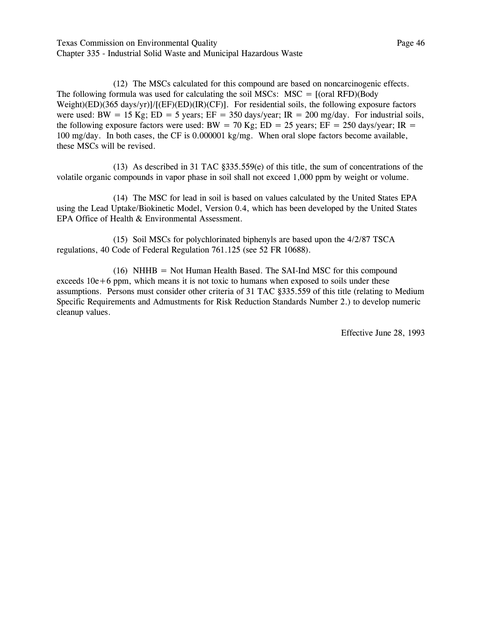Texas Commission on Environmental Quality **Page 46** Chapter 335 - Industrial Solid Waste and Municipal Hazardous Waste

(12) The MSCs calculated for this compound are based on noncarcinogenic effects. The following formula was used for calculating the soil MSCs:  $MSC = [(oral RFD)(Body]$ Weight)(ED)(365 days/yr)]/[(EF)(ED)(IR)(CF)]. For residential soils, the following exposure factors were used: BW = 15 Kg; ED = 5 years; EF = 350 days/year; IR = 200 mg/day. For industrial soils, the following exposure factors were used: BW = 70 Kg; ED = 25 years; EF = 250 days/year; IR = 100 mg/day. In both cases, the CF is 0.000001 kg/mg. When oral slope factors become available, these MSCs will be revised.

(13) As described in 31 TAC  $\S 335.559(e)$  of this title, the sum of concentrations of the volatile organic compounds in vapor phase in soil shall not exceed 1,000 ppm by weight or volume.

(14) The MSC for lead in soil is based on values calculated by the United States EPA using the Lead Uptake/Biokinetic Model, Version 0.4, which has been developed by the United States EPA Office of Health & Environmental Assessment.

(15) Soil MSCs for polychlorinated biphenyls are based upon the 4/2/87 TSCA regulations, 40 Code of Federal Regulation 761.125 (see 52 FR 10688).

(16) NHHB = Not Human Health Based. The SAI-Ind MSC for this compound exceeds  $10e+6$  ppm, which means it is not toxic to humans when exposed to soils under these assumptions. Persons must consider other criteria of 31 TAC ß335.559 of this title (relating to Medium Specific Requirements and Admustments for Risk Reduction Standards Number 2.) to develop numeric cleanup values.

Effective June 28, 1993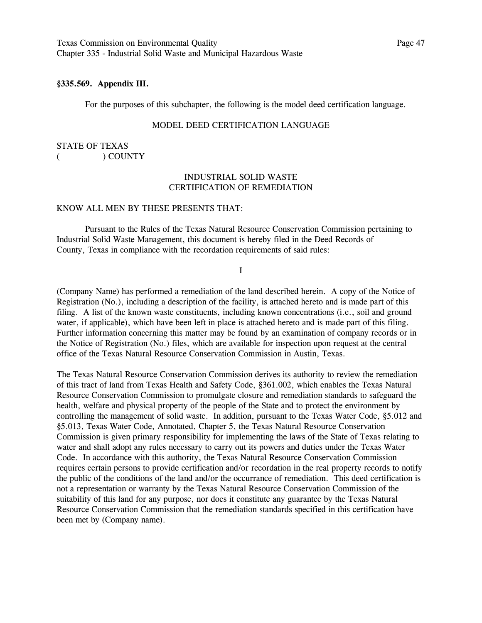Texas Commission on Environmental Quality **Page 47** Page 47 Chapter 335 - Industrial Solid Waste and Municipal Hazardous Waste

## **ß335.569. Appendix III.**

For the purposes of this subchapter, the following is the model deed certification language.

### MODEL DEED CERTIFICATION LANGUAGE

STATE OF TEXAS ( ) COUNTY

### INDUSTRIAL SOLID WASTE CERTIFICATION OF REMEDIATION

#### KNOW ALL MEN BY THESE PRESENTS THAT:

Pursuant to the Rules of the Texas Natural Resource Conservation Commission pertaining to Industrial Solid Waste Management, this document is hereby filed in the Deed Records of County, Texas in compliance with the recordation requirements of said rules:

I

(Company Name) has performed a remediation of the land described herein. A copy of the Notice of Registration (No.), including a description of the facility, is attached hereto and is made part of this filing. A list of the known waste constituents, including known concentrations (i.e., soil and ground water, if applicable), which have been left in place is attached hereto and is made part of this filing. Further information concerning this matter may be found by an examination of company records or in the Notice of Registration (No.) files, which are available for inspection upon request at the central office of the Texas Natural Resource Conservation Commission in Austin, Texas.

The Texas Natural Resource Conservation Commission derives its authority to review the remediation of this tract of land from Texas Health and Safety Code, ß361.002, which enables the Texas Natural Resource Conservation Commission to promulgate closure and remediation standards to safeguard the health, welfare and physical property of the people of the State and to protect the environment by controlling the management of solid waste. In addition, pursuant to the Texas Water Code, ß5.012 and ß5.013, Texas Water Code, Annotated, Chapter 5, the Texas Natural Resource Conservation Commission is given primary responsibility for implementing the laws of the State of Texas relating to water and shall adopt any rules necessary to carry out its powers and duties under the Texas Water Code. In accordance with this authority, the Texas Natural Resource Conservation Commission requires certain persons to provide certification and/or recordation in the real property records to notify the public of the conditions of the land and/or the occurrance of remediation. This deed certification is not a representation or warranty by the Texas Natural Resource Conservation Commission of the suitability of this land for any purpose, nor does it constitute any guarantee by the Texas Natural Resource Conservation Commission that the remediation standards specified in this certification have been met by (Company name).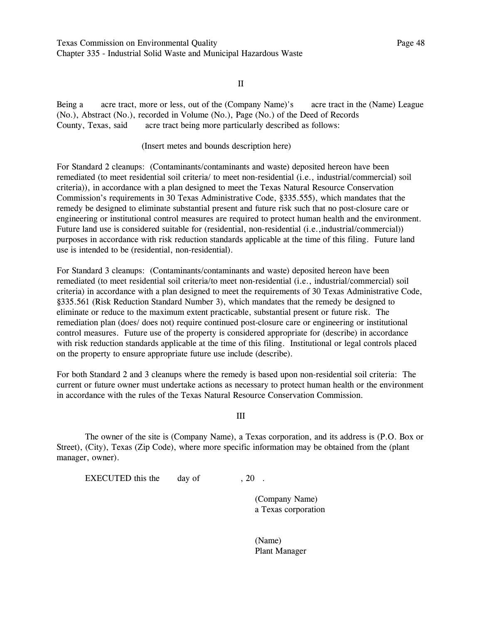Texas Commission on Environmental Quality Page 48 Chapter 335 - Industrial Solid Waste and Municipal Hazardous Waste

II

Being a acre tract, more or less, out of the (Company Name)'s acre tract in the (Name) League (No.), Abstract (No.), recorded in Volume (No.), Page (No.) of the Deed of Records County, Texas, said acre tract being more particularly described as follows:

#### (Insert metes and bounds description here)

For Standard 2 cleanups: (Contaminants/contaminants and waste) deposited hereon have been remediated (to meet residential soil criteria/ to meet non-residential (i.e., industrial/commercial) soil criteria)), in accordance with a plan designed to meet the Texas Natural Resource Conservation Commission's requirements in 30 Texas Administrative Code, §335.555), which mandates that the remedy be designed to eliminate substantial present and future risk such that no post-closure care or engineering or institutional control measures are required to protect human health and the environment. Future land use is considered suitable for (residential, non-residential (i.e., industrial/commercial)) purposes in accordance with risk reduction standards applicable at the time of this filing. Future land use is intended to be (residential, non-residential).

For Standard 3 cleanups: (Contaminants/contaminants and waste) deposited hereon have been remediated (to meet residential soil criteria/to meet non-residential (i.e., industrial/commercial) soil criteria) in accordance with a plan designed to meet the requirements of 30 Texas Administrative Code, ß335.561 (Risk Reduction Standard Number 3), which mandates that the remedy be designed to eliminate or reduce to the maximum extent practicable, substantial present or future risk. The remediation plan (does/ does not) require continued post-closure care or engineering or institutional control measures. Future use of the property is considered appropriate for (describe) in accordance with risk reduction standards applicable at the time of this filing. Institutional or legal controls placed on the property to ensure appropriate future use include (describe).

For both Standard 2 and 3 cleanups where the remedy is based upon non-residential soil criteria: The current or future owner must undertake actions as necessary to protect human health or the environment in accordance with the rules of the Texas Natural Resource Conservation Commission.

III

The owner of the site is (Company Name), a Texas corporation, and its address is (P.O. Box or Street), (City), Texas (Zip Code), where more specific information may be obtained from the (plant manager, owner).

EXECUTED this the day of  $, 20$ .

(Company Name) a Texas corporation

(Name) Plant Manager